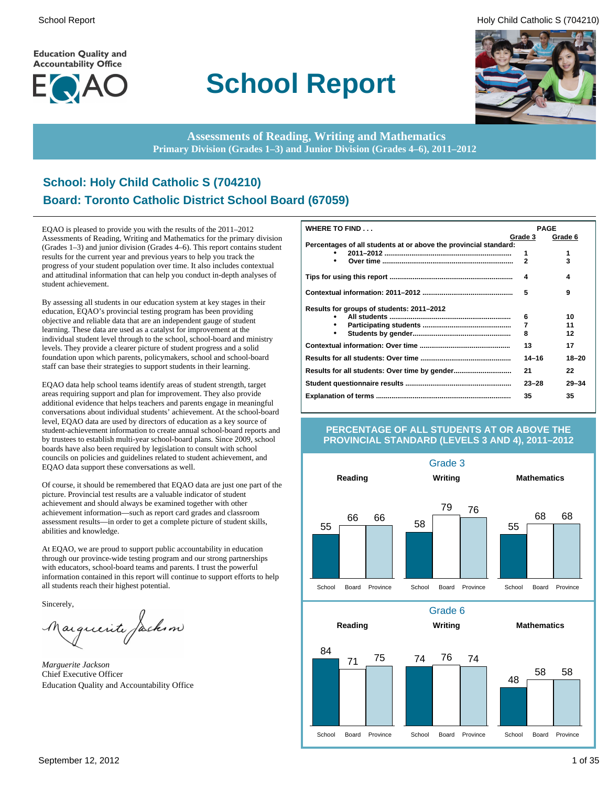**Education Quality and Accountability Office** 



# **School Report**





**Assessments of Reading, Writing and Mathematics Primary Division (Grades 1–3) and Junior Division (Grades 4–6), 2011–2012**

# **School: Holy Child Catholic S (704210) Board: Toronto Catholic District School Board (67059)**

EQAO is pleased to provide you with the results of the 2011–2012 Assessments of Reading, Writing and Mathematics for the primary division (Grades 1–3) and junior division (Grades 4–6). This report contains student results for the current year and previous years to help you track the progress of your student population over time. It also includes contextual and attitudinal information that can help you conduct in-depth analyses of student achievement.

By assessing all students in our education system at key stages in their education, EQAO's provincial testing program has been providing objective and reliable data that are an independent gauge of student learning. These data are used as a catalyst for improvement at the individual student level through to the school, school-board and ministry levels. They provide a clearer picture of student progress and a solid foundation upon which parents, policymakers, school and school-board staff can base their strategies to support students in their learning.

EQAO data help school teams identify areas of student strength, target areas requiring support and plan for improvement. They also provide additional evidence that helps teachers and parents engage in meaningful conversations about individual students' achievement. At the school-board level, EQAO data are used by directors of education as a key source of student-achievement information to create annual school-board reports and by trustees to establish multi-year school-board plans. Since 2009, school boards have also been required by legislation to consult with school councils on policies and guidelines related to student achievement, and EQAO data support these conversations as well.

Of course, it should be remembered that EQAO data are just one part of the picture. Provincial test results are a valuable indicator of student achievement and should always be examined together with other achievement information—such as report card grades and classroom assessment results—in order to get a complete picture of student skills, abilities and knowledge.

At EQAO, we are proud to support public accountability in education through our province-wide testing program and our strong partnerships with educators, school-board teams and parents. I trust the powerful information contained in this report will continue to support efforts to help all students reach their highest potential.

Sincerely,

arguerite Jackson

*Marguerite Jackson* Chief Executive Officer Education Quality and Accountability Office

| WHERE TO FIND                                                    |              | <b>PAGE</b> |
|------------------------------------------------------------------|--------------|-------------|
|                                                                  | Grade 3      | Grade 6     |
| Percentages of all students at or above the provincial standard: |              |             |
|                                                                  | 1            | 1           |
| ٠                                                                | $\mathbf{2}$ | 3           |
|                                                                  | 4            | 4           |
|                                                                  | 5            | 9           |
| Results for groups of students: 2011–2012                        |              |             |
|                                                                  | 6            | 10          |
| ٠                                                                | 7            | 11          |
| ٠                                                                | 8            | 12          |
|                                                                  | 13           | 17          |
|                                                                  | $14 - 16$    | 18-20       |
|                                                                  | 21           | 22          |
|                                                                  | $23 - 28$    | $29 - 34$   |
|                                                                  | 35           | 35          |

#### **PERCENTAGE OF ALL STUDENTS AT OR ABOVE THE PROVINCIAL STANDARD (LEVELS 3 AND 4), 2011–2012**

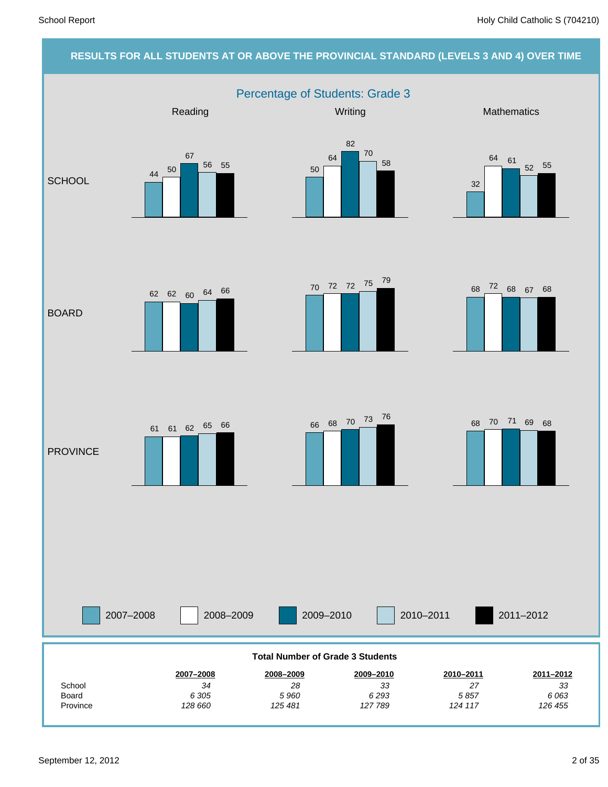# **RESULTS FOR ALL STUDENTS AT OR ABOVE THE PROVINCIAL STANDARD (LEVELS 3 AND 4) OVER TIME** Percentage of Students: Grade 3 2007–2008 2008–2009 2009–2010 2010–2011 Reading Mathematics **Mathematics** Mathematics **Mathematics SCHOOL** BOARD **PROVINCE** 2011–2012 *126 455 6 063 33* **2011–2012** *124 117 5 857 27* **2010–2011** *127 789 6 293 33* **2009–2010** *125 481 5 960 28* **2008–2009** *128 660 6 305 34* **2007–2008** Province Board **School Total Number of Grade 3 Students**  $44 \frac{50}{1}$ 67  $\frac{56}{10}$  55 50 64 82 70 58 32 64 61 52 55 <sup>68</sup> <sup>72</sup> <sup>70</sup> <sup>68</sup> <sup>67</sup> <sup>68</sup> <sup>72</sup> <sup>72</sup> <sup>75</sup> <sup>79</sup> <sup>62</sup> <sup>62</sup> <sup>60</sup> <sup>64</sup> <sup>66</sup> <sup>66</sup> <sup>68</sup> <sup>70</sup> <sup>73</sup> <sup>76</sup> 61 61 62 65 66 66 68 70 73 <sup>76</sup> 68 70 71 69 68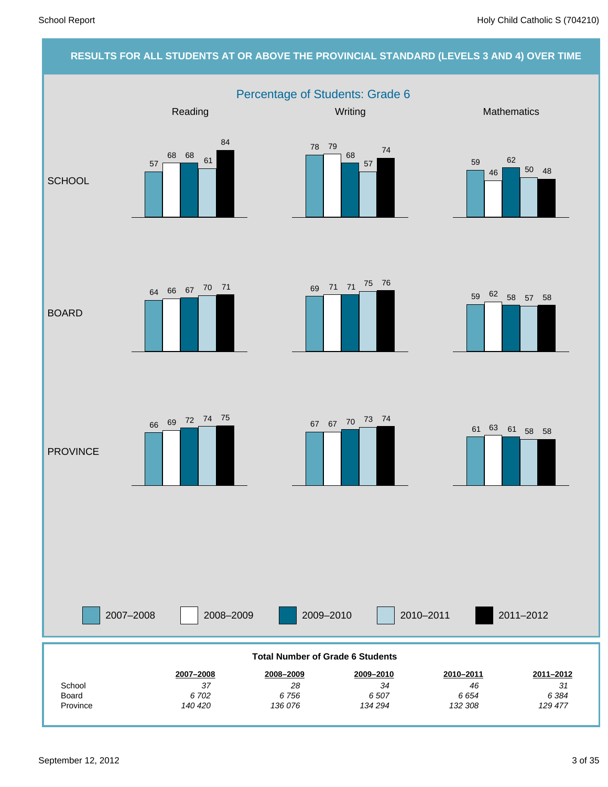### **RESULTS FOR ALL STUDENTS AT OR ABOVE THE PROVINCIAL STANDARD (LEVELS 3 AND 4) OVER TIME** Percentage of Students: Grade 6 2007–2008 2008–2009 2009–2010 2010–2011 Reading Mathematics **Mathematics** Mathematics **Mathematics SCHOOL** BOARD **PROVINCE** 2011–2012 *129 477 6 384 31* **2011–2012** *132 308 6 654 46* **2010–2011** *134 294 6 507 34* **2009–2010** *136 076 6 756 28* **2008–2009** *140 420 6 702 37* **2007–2008** Province Board **School Total Number of Grade 6 Students** 57 <sup>68</sup> <sup>68</sup> <sup>61</sup> <sup>84</sup> <sup>78</sup> <sup>79</sup> 68 57 74 59 46 62 50 48 <sup>59</sup> <sup>62</sup> <sup>58</sup> <sup>57</sup> <sup>58</sup> <sup>69</sup> <sup>71</sup> <sup>71</sup> <sup>75</sup> <sup>76</sup> <sup>64</sup> <sup>66</sup> <sup>67</sup> <sup>70</sup> <sup>71</sup> <sup>67</sup> <sup>67</sup> <sup>70</sup> <sup>73</sup> <sup>74</sup> <sup>66</sup> <sup>69</sup> <sup>72</sup> <sup>74</sup> <sup>75</sup> <sup>61</sup> <sup>63</sup> <sup>61</sup> <sup>58</sup> <sup>58</sup>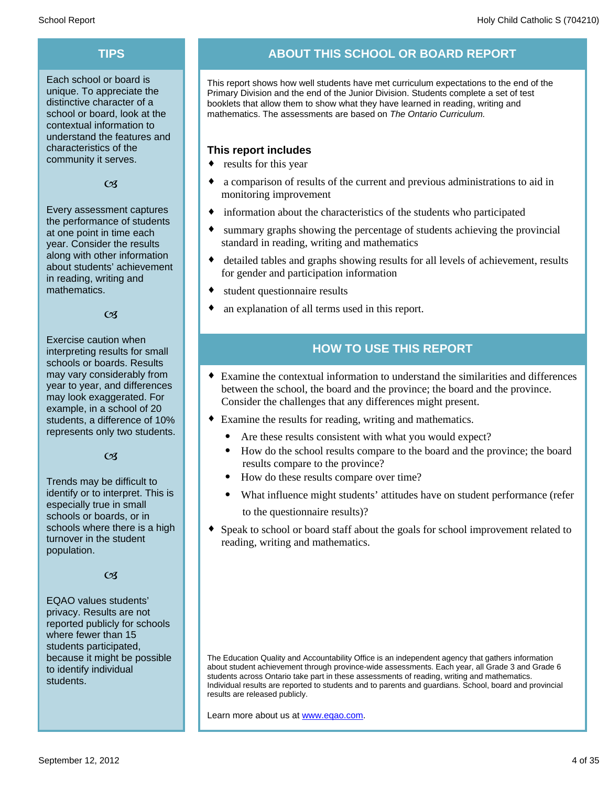Each school or board is unique. To appreciate the distinctive character of a school or board, look at the contextual information to understand the features and characteristics of the community it serves.

#### $C<sub>3</sub>$

Every assessment captures the performance of students at one point in time each year. Consider the results along with other information about students' achievement in reading, writing and mathematics.

#### $\alpha$

Exercise caution when interpreting results for small schools or boards. Results may vary considerably from year to year, and differences may look exaggerated. For example, in a school of 20 students, a difference of 10% represents only two students.

#### $C<sub>3</sub>$

Trends may be difficult to identify or to interpret. This is especially true in small schools or boards, or in schools where there is a high turnover in the student population.

#### $C<sub>3</sub>$

EQAO values students' privacy. Results are not reported publicly for schools where fewer than 15 students participated, because it might be possible to identify individual students.

# **TIPS ABOUT THIS SCHOOL OR BOARD REPORT**

This report shows how well students have met curriculum expectations to the end of the Primary Division and the end of the Junior Division. Students complete a set of test booklets that allow them to show what they have learned in reading, writing and mathematics. The assessments are based on *The Ontario Curriculum.*

#### **This report includes**

- $\bullet$  results for this year
- a comparison of results of the current and previous administrations to aid in monitoring improvement
- information about the characteristics of the students who participated
- summary graphs showing the percentage of students achieving the provincial standard in reading, writing and mathematics
- detailed tables and graphs showing results for all levels of achievement, results for gender and participation information
- student questionnaire results
- an explanation of all terms used in this report.

# **HOW TO USE THIS REPORT**

- ¨ Examine the contextual information to understand the similarities and differences between the school, the board and the province; the board and the province. Consider the challenges that any differences might present.
- Examine the results for reading, writing and mathematics.
	- Are these results consistent with what you would expect?
	- · How do the school results compare to the board and the province; the board results compare to the province?
	- · How do these results compare over time?
	- What influence might students' attitudes have on student performance (refer to the questionnaire results)?
- Speak to school or board staff about the goals for school improvement related to reading, writing and mathematics.

The Education Quality and Accountability Office is an independent agency that gathers information about student achievement through province-wide assessments. Each year, all Grade 3 and Grade 6 students across Ontario take part in these assessments of reading, writing and mathematics. Individual results are reported to students and to parents and guardians. School, board and provincial results are released publicly.

Learn more about us at www.eqao.com.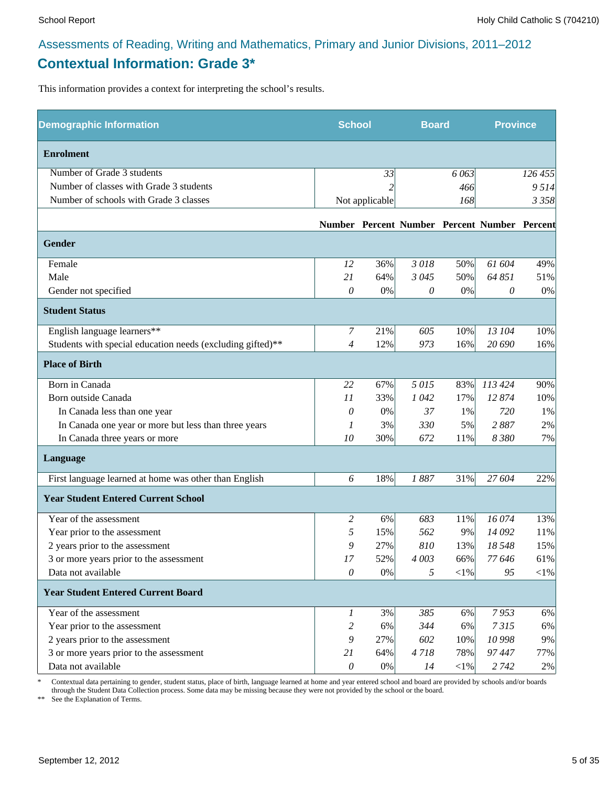# **Contextual Information: Grade 3\***

This information provides a context for interpreting the school's results.

| <b>Demographic Information</b>                             | <b>School</b>             |                | <b>Board</b> |          | <b>Province</b>                              |         |
|------------------------------------------------------------|---------------------------|----------------|--------------|----------|----------------------------------------------|---------|
| <b>Enrolment</b>                                           |                           |                |              |          |                                              |         |
| Number of Grade 3 students                                 |                           | 33             |              | 6 0 63   |                                              | 126 455 |
| Number of classes with Grade 3 students                    |                           |                |              | 466      |                                              | 9514    |
| Number of schools with Grade 3 classes                     |                           | Not applicable |              | 168      |                                              | 3 3 5 8 |
|                                                            |                           |                |              |          | Number Percent Number Percent Number Percent |         |
| Gender                                                     |                           |                |              |          |                                              |         |
| Female                                                     | 12                        | 36%            | 3018         | 50%      | 61 604                                       | 49%     |
| Male                                                       | 21                        | 64%            | 3 0 4 5      | 50%      | 64 851                                       | 51%     |
| Gender not specified                                       | 0                         | $0\%$          | 0            | $0\%$    | 0                                            | 0%      |
| <b>Student Status</b>                                      |                           |                |              |          |                                              |         |
| English language learners**                                | $\boldsymbol{7}$          | 21%            | 605          | 10%      | 13 104                                       | 10%     |
| Students with special education needs (excluding gifted)** | $\overline{4}$            | 12%            | 973          | 16%      | 20 690                                       | 16%     |
| <b>Place of Birth</b>                                      |                           |                |              |          |                                              |         |
| Born in Canada                                             | 22                        | 67%            | 5015         | 83%      | 113 424                                      | 90%     |
| Born outside Canada                                        | 11                        | 33%            | 1042         | 17%      | 12874                                        | 10%     |
| In Canada less than one year                               | 0                         | 0%             | 37           | 1%       | 720                                          | 1%      |
| In Canada one year or more but less than three years       | 1                         | 3%             | 330          | 5%       | 2887                                         | 2%      |
| In Canada three years or more                              | 10                        | 30%            | 672          | 11%      | 8 3 8 0                                      | 7%      |
| Language                                                   |                           |                |              |          |                                              |         |
| First language learned at home was other than English      | 6                         | 18%            | 1887         | 31%      | 27 604                                       | 22%     |
| <b>Year Student Entered Current School</b>                 |                           |                |              |          |                                              |         |
| Year of the assessment                                     | 2                         | 6%             | 683          | 11%      | 16 074                                       | 13%     |
| Year prior to the assessment                               | 5                         | 15%            | 562          | 9%       | 14 092                                       | 11%     |
| 2 years prior to the assessment                            | 9                         | 27%            | 810          | 13%      | 18 5 48                                      | 15%     |
| 3 or more years prior to the assessment                    | 17                        | 52%            | 4 003        | 66%      | 77 646                                       | 61%     |
| Data not available                                         | 0                         | 0%             | 5            | $<$ 1%   | 95                                           | $<$ 1%  |
| <b>Year Student Entered Current Board</b>                  |                           |                |              |          |                                              |         |
| Year of the assessment                                     | 1                         | 3%             | 385          | 6%       | 7953                                         | 6%      |
| Year prior to the assessment                               | 2                         | 6%             | 344          | 6%       | 7315                                         | 6%      |
| 2 years prior to the assessment                            | 9                         | 27%            | 602          | 10%      | 10 998                                       | 9%      |
| 3 or more years prior to the assessment                    | 21                        | 64%            | 4718         | 78%      | 97 447                                       | 77%     |
| Data not available                                         | $\boldsymbol{\mathit{0}}$ | $0\%$          | 14           | ${<}1\%$ | 2 7 4 2                                      | $2\%$   |

\* Contextual data pertaining to gender, student status, place of birth, language learned at home and year entered school and board are provided by schools and/or boards through the Student Data Collection process. Some data may be missing because they were not provided by the school or the board.

\*\* See the Explanation of Terms.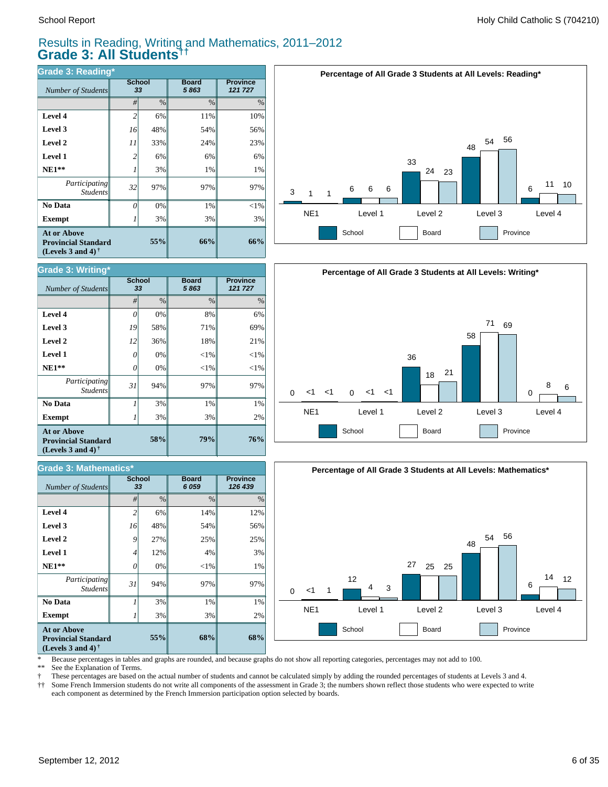**Grade 3: Writing\***

### Results in Reading, Writing and Mathematics, 2011–2012 **Grade 3: All Students††**

| <b>Grade 3: Reading*</b>                                                       |                |              |                      |                            |  |  |  |  |
|--------------------------------------------------------------------------------|----------------|--------------|----------------------|----------------------------|--|--|--|--|
| Number of Students                                                             |                | School<br>33 | <b>Board</b><br>5863 | <b>Province</b><br>121 727 |  |  |  |  |
|                                                                                | #              | $\%$         | $\frac{0}{0}$        | $\%$                       |  |  |  |  |
| Level 4                                                                        | $\overline{2}$ | 6%           | 11%                  | 10%                        |  |  |  |  |
| Level 3                                                                        | 16             | 48%          | 54%                  | 56%                        |  |  |  |  |
| Level 2                                                                        | 11             | 33%          | 24%                  | 23%                        |  |  |  |  |
| <b>Level 1</b>                                                                 | 2              | 6%           | 6%                   | 6%                         |  |  |  |  |
| $NE1**$                                                                        | 1              | 3%           | 1%                   | 1%                         |  |  |  |  |
| Participating<br><b>Students</b>                                               | 32             | 97%          | 97%                  | 97%                        |  |  |  |  |
| No Data                                                                        | $\theta$       | 0%           | 1%                   | $<$ 1%                     |  |  |  |  |
| <b>Exempt</b>                                                                  |                | 3%           | 3%                   | 3%                         |  |  |  |  |
| <b>At or Above</b><br><b>Provincial Standard</b><br>(Levels 3 and 4) $\bar{ }$ | 55%            | 66%          | 66%                  |                            |  |  |  |  |







| Number of Students                                                                                   | <b>School</b><br>33 |               | <b>Board</b><br>5863 | <b>Province</b><br>121 727 |
|------------------------------------------------------------------------------------------------------|---------------------|---------------|----------------------|----------------------------|
|                                                                                                      | #                   | $\frac{0}{0}$ | $\frac{0}{0}$        | $\%$                       |
| Level 4                                                                                              | 0                   | 0%            | 8%                   | 6%                         |
| Level 3                                                                                              | 19                  | 58%           | 71%                  | 69%                        |
| Level 2                                                                                              | 12                  | 36%           | 18%                  | 21%                        |
| <b>Level 1</b>                                                                                       | O                   | 0%            | $<$ 1%               | $<$ 1%                     |
| $NE1**$                                                                                              | 0                   | 0%            | $<$ 1%               | $<$ 1%                     |
| Participating<br><b>Students</b>                                                                     | 31                  | 94%           | 97%                  | 97%                        |
| No Data                                                                                              |                     | 3%            | 1%                   | 1%                         |
| <b>Exempt</b>                                                                                        |                     | 3%            | 3%                   | 2%                         |
| <b>At or Above</b><br><b>Provincial Standard</b><br>(Levels 3 and 4) <sup><math>\dagger</math></sup> |                     | 58%           | 79%                  | 76%                        |

| <b>Grade 3: Mathematics*</b>                                                   |                |                     |                      |                            |  |  |  |  |
|--------------------------------------------------------------------------------|----------------|---------------------|----------------------|----------------------------|--|--|--|--|
| Number of Students                                                             |                | <b>School</b><br>33 | <b>Board</b><br>6059 | <b>Province</b><br>126 439 |  |  |  |  |
|                                                                                | #              | $\%$                | $\%$                 | $\%$                       |  |  |  |  |
| Level 4                                                                        | $\overline{c}$ | 6%                  | 14%                  | 12%                        |  |  |  |  |
| Level 3                                                                        | 16             | 48%                 | 54%                  | 56%                        |  |  |  |  |
| Level 2                                                                        | 9              | 27%                 | 25%                  | 25%                        |  |  |  |  |
| <b>Level 1</b>                                                                 | $\overline{4}$ | 12%                 | 4%                   | 3%                         |  |  |  |  |
| $NE1**$                                                                        | $\theta$       | 0%                  | $<$ 1%               | 1%                         |  |  |  |  |
| Participating<br><b>Students</b>                                               | 31             | 94%                 | 97%                  | 97%                        |  |  |  |  |
| No Data                                                                        |                | 3%                  | 1%                   | 1%                         |  |  |  |  |
| <b>Exempt</b>                                                                  |                | 3%                  | 3%                   | 2%                         |  |  |  |  |
| <b>At or Above</b><br><b>Provincial Standard</b><br>(Levels 3 and 4) $\dagger$ |                | 55%                 | 68%                  | 68%                        |  |  |  |  |

\* Because percentages in tables and graphs are rounded, and because graphs do not show all reporting categories, percentages may not add to 100.

See the Explanation of Terms.

† These percentages are based on the actual number of students and cannot be calculated simply by adding the rounded percentages of students at Levels 3 and 4.

Some French Immersion students do not write all components of the assessment in Grade 3; the numbers shown reflect those students who were expected to write each component as determined by the French Immersion participation option selected by boards.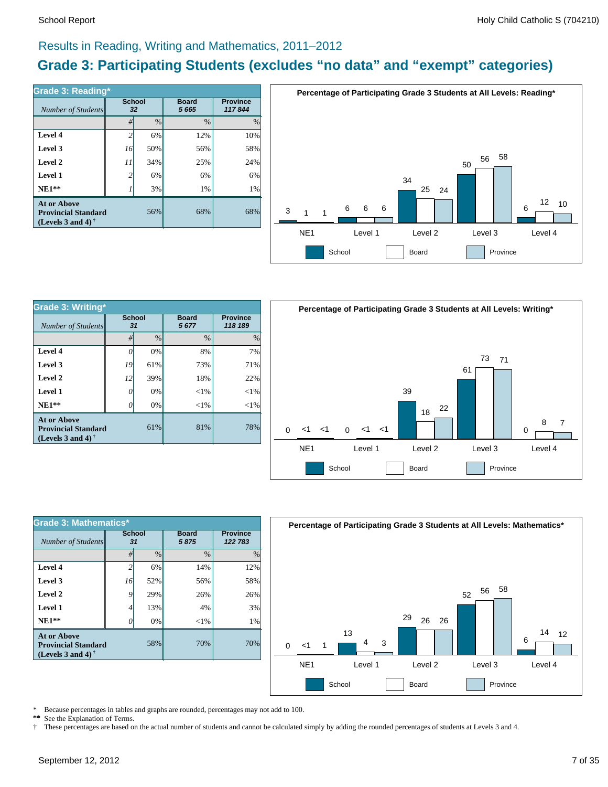**Level 1 Level 2 Level 3**

## Results in Reading, Writing and Mathematics, 2011–2012

# **Grade 3: Participating Students (excludes "no data" and "exempt" categories)**

| Number of Students                                                             | <b>School</b><br>32 |      | <b>Board</b><br>5 6 6 5 | <b>Province</b><br>117844 |
|--------------------------------------------------------------------------------|---------------------|------|-------------------------|---------------------------|
|                                                                                | #                   | $\%$ | %                       | $\%$                      |
| Level 4                                                                        | 2                   | 6%   | 12%                     | 10%                       |
| Level 3                                                                        | 16                  | 50%  | 56%                     | 58%                       |
| Level 2                                                                        | 11                  | 34%  | 25%                     | 24%                       |
| Level 1                                                                        | 2                   | 6%   | 6%                      | 6%                        |
| $NE1**$                                                                        |                     | 3%   | 1%                      | 1%                        |
| <b>At or Above</b><br><b>Provincial Standard</b><br>(Levels 3 and 4) $\dagger$ |                     | 56%  | 68%                     | 68%                       |





| <b>Grade 3: Mathematics*</b>                                      |                     |               |                      |                            |  |  |  |  |
|-------------------------------------------------------------------|---------------------|---------------|----------------------|----------------------------|--|--|--|--|
| Number of Students                                                | <b>School</b><br>31 |               | <b>Board</b><br>5875 | <b>Province</b><br>122 783 |  |  |  |  |
|                                                                   | #                   | $\frac{0}{0}$ | $\frac{0}{0}$        | %                          |  |  |  |  |
| Level 4                                                           | 2                   | 6%            | 14%                  | 12%                        |  |  |  |  |
| Level 3                                                           | 16                  | 52%           | 56%                  | 58%                        |  |  |  |  |
| Level 2                                                           | 9                   | 29%           | 26%                  | 26%                        |  |  |  |  |
| Level 1                                                           | $\overline{4}$      | 13%           | 4%                   | 3%                         |  |  |  |  |
| $NE1**$                                                           | 0                   | 0%            | $<$ 1%               | 1%                         |  |  |  |  |
| At or Above<br><b>Provincial Standard</b><br>(Levels 3 and 4) $†$ |                     | 70%           | 70%                  |                            |  |  |  |  |



\* Because percentages in tables and graphs are rounded, percentages may not add to 100.<br>\*\* See the Explanation of Terms

\*\* See the Explanation of Terms.<br>† These percentages are based of † These percentages are based on the actual number of students and cannot be calculated simply by adding the rounded percentages of students at Levels 3 and 4.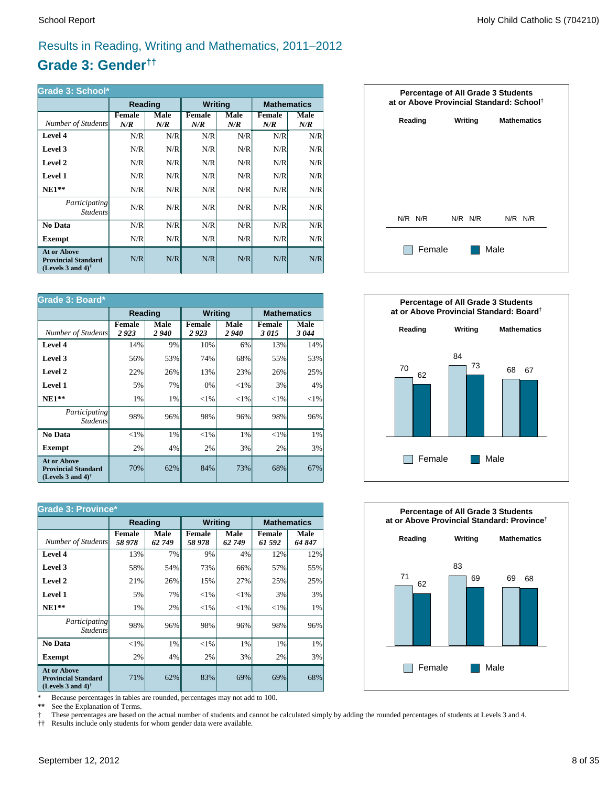# Results in Reading, Writing and Mathematics, 2011–2012

# **Grade 3: Gender††**

| Grade 3: School*                                                                                     |                      |             |                      |             |                    |             |  |
|------------------------------------------------------------------------------------------------------|----------------------|-------------|----------------------|-------------|--------------------|-------------|--|
|                                                                                                      | <b>Reading</b>       |             | Writing              |             | <b>Mathematics</b> |             |  |
| Number of Students                                                                                   | <b>Female</b><br>N/R | Male<br>N/R | <b>Female</b><br>N/R | Male<br>N/R | Female<br>N/R      | Male<br>N/R |  |
| Level 4                                                                                              | N/R                  | N/R         | N/R                  | N/R         | N/R                | N/R         |  |
| Level 3                                                                                              | N/R                  | N/R         | N/R                  | N/R         | N/R                | N/R         |  |
| Level 2                                                                                              | N/R                  | N/R         | N/R                  | N/R         | N/R                | N/R         |  |
| <b>Level 1</b>                                                                                       | N/R                  | N/R         | N/R                  | N/R         | N/R                | N/R         |  |
| $NE1**$                                                                                              | N/R                  | N/R         | N/R                  | N/R         | N/R                | N/R         |  |
| Participating<br><b>Students</b>                                                                     | N/R                  | N/R         | N/R                  | N/R         | N/R                | N/R         |  |
| No Data                                                                                              | N/R                  | N/R         | N/R                  | N/R         | N/R                | N/R         |  |
| Exempt                                                                                               | N/R                  | N/R         | N/R                  | N/R         | N/R                | N/R         |  |
| <b>At or Above</b><br><b>Provincial Standard</b><br>(Levels 3 and 4) <sup><math>\dagger</math></sup> | N/R                  | N/R         | N/R                  | N/R         | N/R                | N/R         |  |

| Grade 3: Board*                                                                |                       |              |                       |              |                       |              |  |
|--------------------------------------------------------------------------------|-----------------------|--------------|-----------------------|--------------|-----------------------|--------------|--|
|                                                                                | Reading               |              | <b>Writing</b>        |              | <b>Mathematics</b>    |              |  |
| Number of Students                                                             | <b>Female</b><br>2923 | Male<br>2940 | <b>Female</b><br>2923 | Male<br>2940 | <b>Female</b><br>3015 | Male<br>3044 |  |
| Level 4                                                                        | 14%                   | 9%           | 10%                   | 6%           | 13%                   | 14%          |  |
| Level 3                                                                        | 56%                   | 53%          | 74%                   | 68%          | 55%                   | 53%          |  |
| Level 2                                                                        | 22%                   | 26%          | 13%                   | 23%          | 26%                   | 25%          |  |
| <b>Level 1</b>                                                                 | 5%                    | 7%           | 0%                    | ${<}1\%$     | 3%                    | 4%           |  |
| $NE1**$                                                                        | 1%                    | 1%           | ${<}1\%$              | ${<}1\%$     | ${<}1\%$              | ${<}1\%$     |  |
| Participating<br><b>Students</b>                                               | 98%                   | 96%          | 98%                   | 96%          | 98%                   | 96%          |  |
| No Data                                                                        | ${<}1\%$              | 1%           | $<$ 1%                | 1%           | $<$ 1%                | 1%           |  |
| Exempt                                                                         | 2%                    | 4%           | 2%                    | 3%           | 2%                    | 3%           |  |
| <b>At or Above</b><br><b>Provincial Standard</b><br>(Levels 3 and 4) $\dagger$ | 70%                   | 62%          | 84%                   | 73%          | 68%                   | 67%          |  |

| <b>Grade 3: Province*</b>                                                      |                        |               |                         |               |                         |               |  |
|--------------------------------------------------------------------------------|------------------------|---------------|-------------------------|---------------|-------------------------|---------------|--|
|                                                                                | Reading                |               | <b>Writing</b>          |               | <b>Mathematics</b>      |               |  |
| Number of Students                                                             | <b>Female</b><br>58978 | Male<br>62749 | <b>Female</b><br>58 978 | Male<br>62749 | <b>Female</b><br>61 592 | Male<br>64847 |  |
| Level 4                                                                        | 13%                    | 7%            | 9%                      | 4%            | 12%                     | 12%           |  |
| Level 3                                                                        | 58%                    | 54%           | 73%                     | 66%           | 57%                     | 55%           |  |
| Level 2                                                                        | 21%                    | 26%           | 15%                     | 27%           | 25%                     | 25%           |  |
| Level 1                                                                        | 5%                     | 7%            | ${<}1\%$                | ${<}1\%$      | 3%                      | 3%            |  |
| $NE1**$                                                                        | 1%                     | 2%            | ${<}1\%$                | ${<}1\%$      | ${<}1\%$                | 1%            |  |
| <i>Participating</i><br><i>Students</i>                                        | 98%                    | 96%           | 98%                     | 96%           | 98%                     | 96%           |  |
| No Data                                                                        | $<$ 1%                 | 1%            | ${<}1\%$                | 1%            | 1%                      | 1%            |  |
| <b>Exempt</b>                                                                  | 2%                     | 4%            | 2%                      | 3%            | 2%                      | 3%            |  |
| <b>At or Above</b><br><b>Provincial Standard</b><br>(Levels 3 and 4) $\dagger$ | 71%                    | 62%           | 83%                     | 69%           | 69%                     | 68%           |  |

\* Because percentages in tables are rounded, percentages may not add to 100.<br>\*\* See the Explanation of Terms.

See the Explanation of Terms.

† These percentages are based on the actual number of students and cannot be calculated simply by adding the rounded percentages of students at Levels 3 and 4.<br>†† Results include only students for whom gender data were ava

†† Results include only students for whom gender data were available.





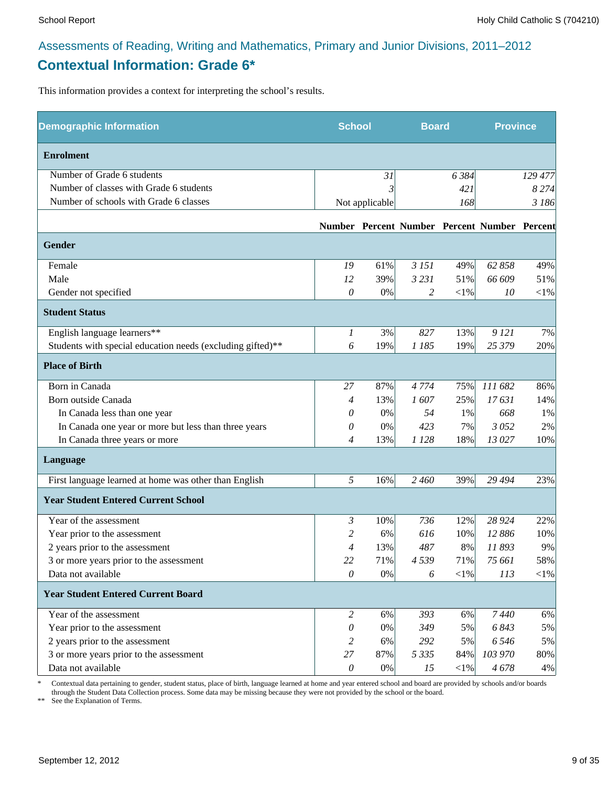# Assessments of Reading, Writing and Mathematics, Primary and Junior Divisions, 2011–2012 **Contextual Information: Grade 6\***

This information provides a context for interpreting the school's results.

| <b>Demographic Information</b>                             | <b>School</b>             |                | <b>Board</b> |            | <b>Province</b>                              |            |
|------------------------------------------------------------|---------------------------|----------------|--------------|------------|----------------------------------------------|------------|
| <b>Enrolment</b>                                           |                           |                |              |            |                                              |            |
| Number of Grade 6 students                                 |                           | 31             |              | 6 3 8 4    |                                              | 129 477    |
| Number of classes with Grade 6 students                    |                           |                |              | 421        |                                              | 8274       |
| Number of schools with Grade 6 classes                     |                           | Not applicable |              | 168        |                                              | 3 186      |
|                                                            |                           |                |              |            | Number Percent Number Percent Number Percent |            |
| <b>Gender</b>                                              |                           |                |              |            |                                              |            |
| Female                                                     | 19                        | 61%            | 3 15 1       | 49%        | 62 858                                       | 49%        |
| Male                                                       | 12                        | 39%            | 3 2 3 1      | 51%        | 66 609                                       | 51%        |
| Gender not specified                                       | $\mathcal O$              | 0%             | 2            | $<$ l $%$  | 10                                           | $<\!\!1\%$ |
| <b>Student Status</b>                                      |                           |                |              |            |                                              |            |
| English language learners**                                | 1                         | 3%             | 827          | 13%        | 9 12 1                                       | 7%         |
| Students with special education needs (excluding gifted)** | 6                         | 19%            | 1 185        | 19%        | 25 379                                       | 20%        |
| <b>Place of Birth</b>                                      |                           |                |              |            |                                              |            |
| Born in Canada                                             | 27                        | 87%            | 4 7 7 4      | 75%        | 111 682                                      | 86%        |
| Born outside Canada                                        | $\overline{4}$            | 13%            | 1607         | 25%        | 17631                                        | 14%        |
| In Canada less than one year                               | 0                         | 0%             | 54           | 1%         | 668                                          | 1%         |
| In Canada one year or more but less than three years       | 0                         | 0%             | 423          | 7%         | 3052                                         | 2%         |
| In Canada three years or more                              | $\overline{4}$            | 13%            | 1 1 2 8      | 18%        | 13 027                                       | 10%        |
| Language                                                   |                           |                |              |            |                                              |            |
| First language learned at home was other than English      | 5                         | 16%            | 2 460        | 39%        | 29 4 94                                      | 23%        |
| <b>Year Student Entered Current School</b>                 |                           |                |              |            |                                              |            |
| Year of the assessment                                     | 3                         | 10%            | 736          | 12%        | 28 9 24                                      | 22%        |
| Year prior to the assessment                               | 2                         | 6%             | 616          | 10%        | 12 886                                       | 10%        |
| 2 years prior to the assessment                            | 4                         | 13%            | 487          | 8%         | 11893                                        | 9%         |
| 3 or more years prior to the assessment                    | 22                        | 71%            | 4539         | 71%        | 75 661                                       | 58%        |
| Data not available                                         | $\theta$                  | 0%             | 6            | $<$ 1%     | 113                                          | $<$ 1%     |
| <b>Year Student Entered Current Board</b>                  |                           |                |              |            |                                              |            |
| Year of the assessment                                     | $\overline{c}$            | 6%             | 393          | 6%         | 7440                                         | 6%         |
| Year prior to the assessment                               | 0                         | 0%             | 349          | 5%         | 6843                                         | 5%         |
| 2 years prior to the assessment                            | 2                         | 6%             | 292          | 5%         | 6546                                         | 5%         |
| 3 or more years prior to the assessment                    | 27                        | 87%            | 5 3 3 5      | 84%        | 103 970                                      | 80%        |
| Data not available                                         | $\boldsymbol{\mathit{0}}$ | $0\%$          | 15           | $<\!\!1\%$ | 4678                                         | 4%         |

\* Contextual data pertaining to gender, student status, place of birth, language learned at home and year entered school and board are provided by schools and/or boards through the Student Data Collection process. Some data may be missing because they were not provided by the school or the board.

\*\* See the Explanation of Terms.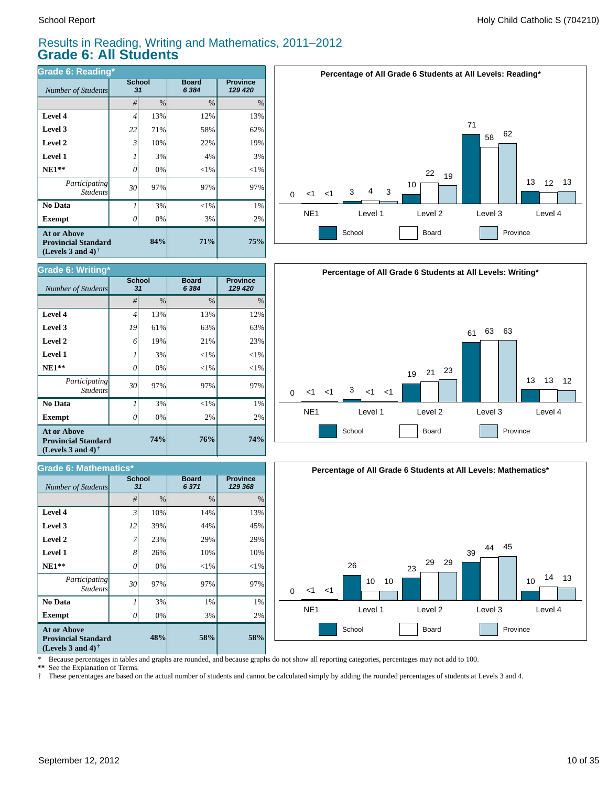*Number of Students* 

**Grade 6: Writing\***

**Exempt**  $\qquad$  0

*Number of Students 31*

**Grade 6: Mathematics\***

*Participating Students*

 **No Data**

**At or Above Provincial Standard (Levels 3 and 4) †**

 **NE1\*\* Level 1 Level 2 Level 3 Level 4**

13 13 12

### Results in Reading, Writing and Mathematics, 2011–2012 **Grade 6: All Students**

| Grade 6: Reading*                                                                                           |    |        |                         |                            |  |  |  |  |
|-------------------------------------------------------------------------------------------------------------|----|--------|-------------------------|----------------------------|--|--|--|--|
| Number of Students                                                                                          | 31 | School | <b>Board</b><br>6 3 8 4 | <b>Province</b><br>129 420 |  |  |  |  |
|                                                                                                             | #  | $\%$   | $\frac{0}{0}$           | $\%$                       |  |  |  |  |
| Level 4                                                                                                     | 4  | 13%    | 12%                     | 13%                        |  |  |  |  |
| Level 3                                                                                                     | 22 | 71%    | 58%                     | 62%                        |  |  |  |  |
| Level 2                                                                                                     | 3' | 10%    | 22%                     | 19%                        |  |  |  |  |
| <b>Level 1</b>                                                                                              |    | 3%     | 4%                      | 3%                         |  |  |  |  |
| $NE1**$                                                                                                     | 0  | 0%     | $<$ 1%                  | $<$ 1%                     |  |  |  |  |
| Participating<br><b>Students</b>                                                                            | 30 | 97%    | 97%                     | 97%                        |  |  |  |  |
| No Data                                                                                                     |    | 3%     | $<$ 1%                  | 1%                         |  |  |  |  |
| <b>Exempt</b>                                                                                               |    | 0%     | 3%                      | 2%                         |  |  |  |  |
| <b>At or Above</b><br>84%<br><b>Provincial Standard</b><br>(Levels 3 and 4) <sup><math>\dagger</math></sup> |    |        | 71%                     | 75%                        |  |  |  |  |

School<br>31

**School**







\* Because percentages in tables and graphs are rounded, and because graphs do not show all reporting categories, percentages may not add to 100.

**58%**

**48%**

0% 3% 97% 0% 26%  $23%$ 39% 10%

3% 1% 97%  $<\!\!1\%$ 10% 29% 44% 14%

*#* % % %

**Board** *6 371*

**Province** *129 368*

**\*\*** See the Explanation of Terms.

**Exempt** *0* 

*Participating Students*

 **No Data**

**At or Above Provincial Standard (Levels 3 and 4) †**

 **NE1\*\* Level 1 Level 2 Level 3 Level 4**

† These percentages are based on the actual number of students and cannot be calculated simply by adding the rounded percentages of students at Levels 3 and 4.

**58%**

 $20%$ 1% 97%  $<$ 1% 10% 29% 45% 13%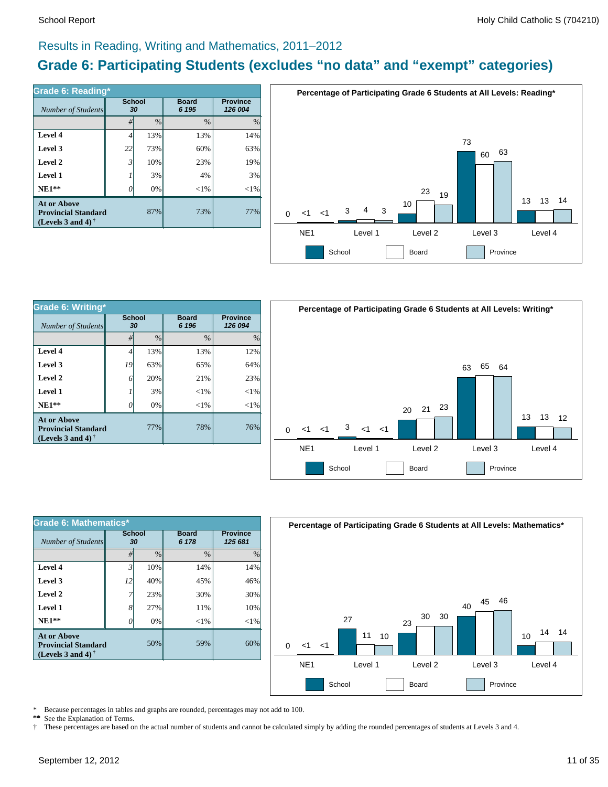13 13 12

# Results in Reading, Writing and Mathematics, 2011–2012

# **Grade 6: Participating Students (excludes "no data" and "exempt" categories)**

| Grade 6: Reading*                                                              |                     |      |                       |                            |  |  |  |
|--------------------------------------------------------------------------------|---------------------|------|-----------------------|----------------------------|--|--|--|
| Number of Students                                                             | <b>School</b><br>30 |      | <b>Board</b><br>6 195 | <b>Province</b><br>126 004 |  |  |  |
|                                                                                | #                   | $\%$ | $\frac{0}{0}$         | $\frac{0}{0}$              |  |  |  |
| Level 4                                                                        | 4                   | 13%  | 13%                   | 14%                        |  |  |  |
| Level 3                                                                        | 22                  | 73%  | 60%                   | 63%                        |  |  |  |
| Level 2                                                                        | $\mathfrak{Z}$      | 10%  | 23%                   | 19%                        |  |  |  |
| Level 1                                                                        |                     | 3%   | 4%                    | 3%                         |  |  |  |
| $NE1**$                                                                        |                     | 0%   | ${<}1\%$              | ${<}1\%$                   |  |  |  |
| <b>At or Above</b><br><b>Provincial Standard</b><br>(Levels 3 and 4) $\dagger$ |                     | 87%  | 73%                   | 77%                        |  |  |  |





| <b>Grade 6: Mathematics*</b>                                                                                |                     |               |                       |                            |  |  |
|-------------------------------------------------------------------------------------------------------------|---------------------|---------------|-----------------------|----------------------------|--|--|
| Number of Students                                                                                          | <b>School</b><br>30 |               | <b>Board</b><br>6 178 | <b>Province</b><br>125 681 |  |  |
|                                                                                                             | #                   | $\frac{0}{0}$ | $\frac{0}{0}$         | %                          |  |  |
| Level 4                                                                                                     | 3'                  | 10%           | 14%                   | 14%                        |  |  |
| Level 3                                                                                                     | 12                  | 40%           | 45%                   | 46%                        |  |  |
| Level 2                                                                                                     | 7                   | 23%           | 30%                   | 30%                        |  |  |
| Level 1                                                                                                     | 8                   | 27%           | 11%                   | 10%                        |  |  |
| $NE1**$                                                                                                     | 0                   | 0%            | $<$ 1%                | ${<}1\%$                   |  |  |
| <b>At or Above</b><br>50%<br><b>Provincial Standard</b><br>(Levels 3 and 4) <sup><math>\dagger</math></sup> |                     |               | 59%                   | 60%                        |  |  |



\* Because percentages in tables and graphs are rounded, percentages may not add to 100.<br>\*\* See the Explanation of Terms

See the Explanation of Terms.

† These percentages are based on the actual number of students and cannot be calculated simply by adding the rounded percentages of students at Levels 3 and 4.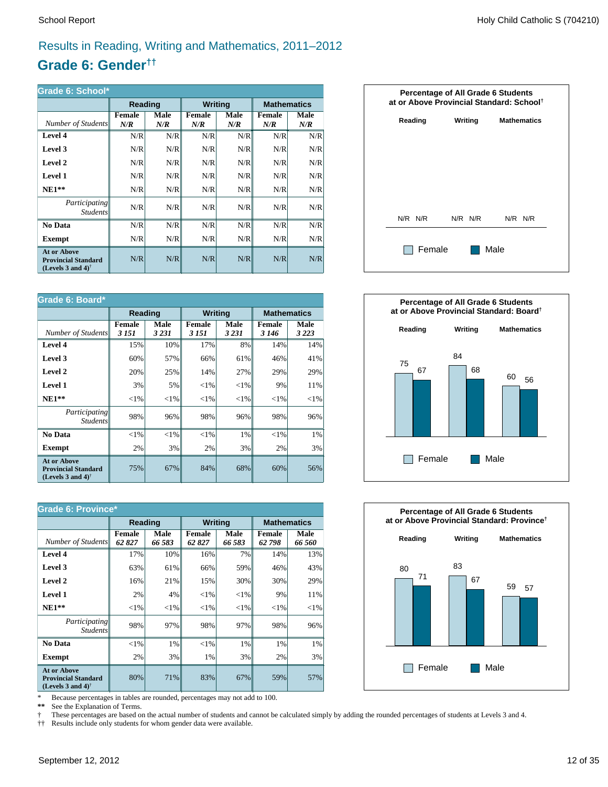# Results in Reading, Writing and Mathematics, 2011–2012

# **Grade 6: Gender††**

| Grade 6: School*                                                                                     |                      |             |                      |             |                    |             |  |  |
|------------------------------------------------------------------------------------------------------|----------------------|-------------|----------------------|-------------|--------------------|-------------|--|--|
|                                                                                                      | Reading              |             | <b>Writing</b>       |             | <b>Mathematics</b> |             |  |  |
| Number of Students                                                                                   | <b>Female</b><br>N/R | Male<br>N/R | <b>Female</b><br>N/R | Male<br>N/R | Female<br>N/R      | Male<br>N/R |  |  |
| Level 4                                                                                              | N/R                  | N/R         | N/R                  | N/R         | N/R                | N/R         |  |  |
| Level 3                                                                                              | N/R                  | N/R         | N/R                  | N/R         | N/R                | N/R         |  |  |
| Level 2                                                                                              | N/R                  | N/R         | N/R                  | N/R         | N/R                | N/R         |  |  |
| Level 1                                                                                              | N/R                  | N/R         | N/R                  | N/R         | N/R                | N/R         |  |  |
| $NE1**$                                                                                              | N/R                  | N/R         | N/R                  | N/R         | N/R                | N/R         |  |  |
| <i>Participating</i><br><i>Students</i>                                                              | N/R                  | N/R         | N/R                  | N/R         | N/R                | N/R         |  |  |
| No Data                                                                                              | N/R                  | N/R         | N/R                  | N/R         | N/R                | N/R         |  |  |
| Exempt                                                                                               | N/R                  | N/R         | N/R                  | N/R         | N/R                | N/R         |  |  |
| <b>At or Above</b><br><b>Provincial Standard</b><br>(Levels 3 and 4) <sup><math>\dagger</math></sup> | N/R                  | N/R         | N/R                  | N/R         | N/R                | N/R         |  |  |

| Grade 6: Board*                                                                |                          |                 |                         |                 |                          |                    |  |
|--------------------------------------------------------------------------------|--------------------------|-----------------|-------------------------|-----------------|--------------------------|--------------------|--|
|                                                                                | Reading                  |                 |                         | <b>Writing</b>  |                          | <b>Mathematics</b> |  |
| Number of Students                                                             | <b>Female</b><br>3 1 5 1 | Male<br>3 2 3 1 | <b>Female</b><br>3 15 1 | Male<br>3 2 3 1 | <b>Female</b><br>3 1 4 6 | Male<br>3 2 2 3    |  |
| Level 4                                                                        | 15%                      | 10%             | 17%                     | 8%              | 14%                      | 14%                |  |
| Level 3                                                                        | 60%                      | 57%             | 66%                     | 61%             | 46%                      | 41%                |  |
| Level 2                                                                        | 20%                      | 25%             | 14%                     | 27%             | 29%                      | 29%                |  |
| <b>Level 1</b>                                                                 | 3%                       | 5%              | $<$ 1%                  | ${<}1\%$        | 9%                       | 11%                |  |
| $NE1**$                                                                        | ${<}1\%$                 | ${<}1\%$        | ${<}1\%$                | ${<}1\%$        | ${<}1\%$                 | ${<}1\%$           |  |
| Participating<br><b>Students</b>                                               | 98%                      | 96%             | 98%                     | 96%             | 98%                      | 96%                |  |
| No Data                                                                        | ${<}1\%$                 | $< 1\%$         | ${<}1\%$                | $1\%$           | ${<}1\%$                 | 1%                 |  |
| <b>Exempt</b>                                                                  | 2%                       | 3%              | 2%                      | 3%              | 2%                       | 3%                 |  |
| <b>At or Above</b><br><b>Provincial Standard</b><br>(Levels 3 and 4) $\dagger$ | 75%                      | 67%             | 84%                     | 68%             | 60%                      | 56%                |  |

| <b>Grade 6: Province*</b>                                                      |                        |                |                        |                |                        |                    |  |
|--------------------------------------------------------------------------------|------------------------|----------------|------------------------|----------------|------------------------|--------------------|--|
|                                                                                | Reading                |                | <b>Writing</b>         |                |                        | <b>Mathematics</b> |  |
| Number of Students                                                             | <b>Female</b><br>62827 | Male<br>66 583 | <b>Female</b><br>62827 | Male<br>66 583 | <b>Female</b><br>62798 | Male<br>66 560     |  |
| Level 4                                                                        | 17%                    | 10%            | 16%                    | 7%             | 14%                    | 13%                |  |
| Level 3                                                                        | 63%                    | 61%            | 66%                    | 59%            | 46%                    | 43%                |  |
| Level 2                                                                        | 16%                    | 21%            | 15%                    | 30%            | 30%                    | 29%                |  |
| <b>Level 1</b>                                                                 | 2%                     | 4%             | ${<}1\%$               | ${<}1\%$       | 9%                     | 11%                |  |
| $NE1**$                                                                        | ${<}1\%$               | ${<}1\%$       | ${<}1\%$               | ${<}1\%$       | ${<}1\%$               | ${<}1\%$           |  |
| Participating<br><i>Students</i>                                               | 98%                    | 97%            | 98%                    | 97%            | 98%                    | 96%                |  |
| No Data                                                                        | ${<}1\%$               | 1%             | ${<}1\%$               | 1%             | 1%                     | 1%                 |  |
| <b>Exempt</b>                                                                  | 2%                     | 3%             | 1%                     | 3%             | 2%                     | 3%                 |  |
| <b>At or Above</b><br><b>Provincial Standard</b><br>(Levels 3 and 4) $\dagger$ | 80%                    | 71%            | 83%                    | 67%            | 59%                    | 57%                |  |

\* Because percentages in tables are rounded, percentages may not add to 100.<br>\*\* See the Explanation of Terms.

See the Explanation of Terms.

† These percentages are based on the actual number of students and cannot be calculated simply by adding the rounded percentages of students at Levels 3 and 4.<br>†† Results include only students for whom gender data were ava

†† Results include only students for whom gender data were available.





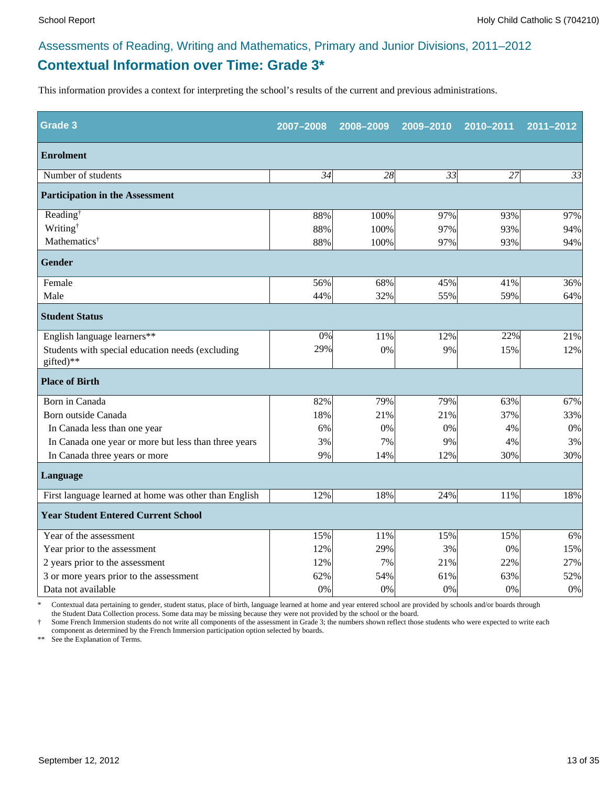# **Contextual Information over Time: Grade 3\*** Assessments of Reading, Writing and Mathematics, Primary and Junior Divisions, 2011–2012

This information provides a context for interpreting the school's results of the current and previous administrations.

| <b>Grade 3</b>                                                | 2007-2008 | 2008-2009 | 2009-2010 | 2010-2011 | 2011-2012 |
|---------------------------------------------------------------|-----------|-----------|-----------|-----------|-----------|
| <b>Enrolment</b>                                              |           |           |           |           |           |
| Number of students                                            | 34        | 28        | 33        | 27        | 33        |
| <b>Participation in the Assessment</b>                        |           |           |           |           |           |
| Reading <sup>†</sup>                                          | 88%       | 100%      | 97%       | 93%       | 97%       |
| Writing <sup>†</sup>                                          | 88%       | 100%      | 97%       | 93%       | 94%       |
| Mathematics <sup>†</sup>                                      | 88%       | 100%      | 97%       | 93%       | 94%       |
| <b>Gender</b>                                                 |           |           |           |           |           |
| Female                                                        | 56%       | 68%       | 45%       | 41%       | 36%       |
| Male                                                          | 44%       | 32%       | 55%       | 59%       | 64%       |
| <b>Student Status</b>                                         |           |           |           |           |           |
| English language learners**                                   | 0%        | 11%       | 12%       | 22%       | 21%       |
| Students with special education needs (excluding<br>gifted)** | 29%       | 0%        | 9%        | 15%       | 12%       |
| <b>Place of Birth</b>                                         |           |           |           |           |           |
| Born in Canada                                                | 82%       | 79%       | 79%       | 63%       | 67%       |
| Born outside Canada                                           | 18%       | 21%       | 21%       | 37%       | 33%       |
| In Canada less than one year                                  | 6%        | 0%        | 0%        | 4%        | 0%        |
| In Canada one year or more but less than three years          | 3%        | 7%        | 9%        | 4%        | 3%        |
| In Canada three years or more                                 | 9%        | 14%       | 12%       | 30%       | 30%       |
| Language                                                      |           |           |           |           |           |
| First language learned at home was other than English         | 12%       | 18%       | 24%       | 11%       | 18%       |
| <b>Year Student Entered Current School</b>                    |           |           |           |           |           |
| Year of the assessment                                        | 15%       | 11%       | 15%       | 15%       | 6%        |
| Year prior to the assessment                                  | 12%       | 29%       | 3%        | 0%        | 15%       |
| 2 years prior to the assessment                               | 12%       | 7%        | 21%       | 22%       | 27%       |
| 3 or more years prior to the assessment                       | 62%       | 54%       | 61%       | 63%       | 52%       |
| Data not available                                            | 0%        | 0%        | 0%        | 0%        | $0\%$     |

\* Contextual data pertaining to gender, student status, place of birth, language learned at home and year entered school are provided by schools and/or boards through the Student Data Collection process. Some data may be missing because they were not provided by the school or the board.

† Some French Immersion students do not write all components of the assessment in Grade 3; the numbers shown reflect those students who were expected to write each component as determined by the French Immersion participation option selected by boards.

\*\* See the Explanation of Terms.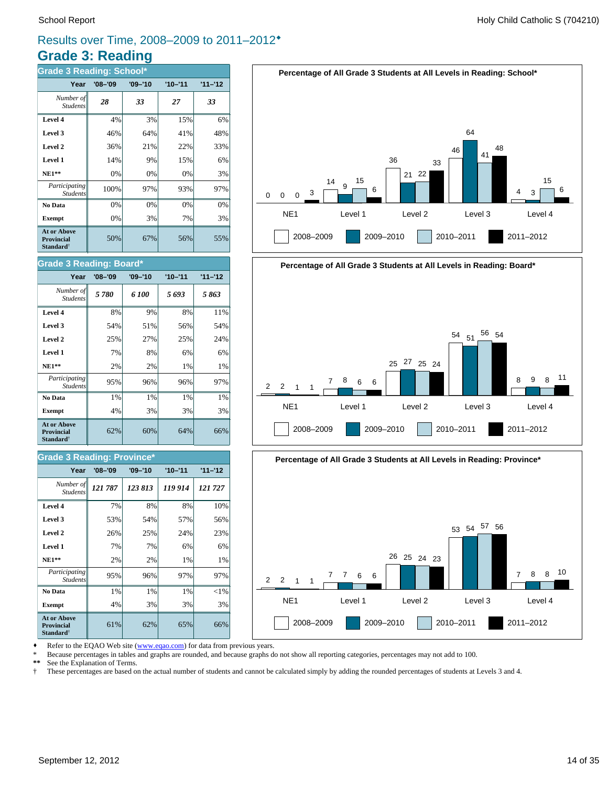# **Grade 3: Reading** Results over Time, 2008–2009 to 2011–2012®

| <b>Grade 3 Reading: School*</b>                                         |             |             |             |           |  |  |  |
|-------------------------------------------------------------------------|-------------|-------------|-------------|-----------|--|--|--|
| Year                                                                    | $'08 - '09$ | $'09 - '10$ | $'10 - '11$ | $11 - 12$ |  |  |  |
| Number of<br><b>Students</b>                                            | 28          | 33          | 27          | 33        |  |  |  |
| Level 4                                                                 | 4%          | 3%          | 15%         | 6%        |  |  |  |
| Level 3                                                                 | 46%         | 64%         | 41%         | 48%       |  |  |  |
| Level 2                                                                 | 36%         | 21%         | 22%         | 33%       |  |  |  |
| Level 1                                                                 | 14%         | 9%          | 15%         | 6%        |  |  |  |
| <b>NE1**</b>                                                            | 0%          | 0%          | 0%          | 3%        |  |  |  |
| Participating<br><b>Students</b>                                        | 100%        | 97%         | 93%         | 97%       |  |  |  |
| No Data                                                                 | 0%          | 0%          | 0%          | 0%        |  |  |  |
| <b>Exempt</b>                                                           | 0%          | 3%          | 7%          | 3%        |  |  |  |
| <b>At or Above</b><br><b>Provincial</b><br><b>Standard</b> <sup>†</sup> | 50%         | 67%         | 56%         | 55%       |  |  |  |

#### School Report **Holy Child Catholic S** (704210)







Refer to the EQAO Web site (www.eqao.com) for data from previous years.

\* Because percentages in tables and graphs are rounded, and because graphs do not show all reporting categories, percentages may not add to 100.

**\*\*** See the Explanation of Terms.

† These percentages are based on the actual number of students and cannot be calculated simply by adding the rounded percentages of students at Levels 3 and 4.

#### **NE1\*\***  $\begin{vmatrix} 2\% & 2\% \end{vmatrix}$  1% 1% **Level 1** 7% 8% 6% 6%

**Grade 3 Reading: Board\***

Student.

| Participating<br><i>Students</i>                                 | 95% | 96% | 96% | 97% |
|------------------------------------------------------------------|-----|-----|-----|-----|
| No Data                                                          | 1%  | 1%  | 1%  | 1%  |
| Exempt                                                           | 4%  | 3%  | 3%  | 3%  |
| <b>At or Above</b><br><b>Provincial</b><br>Standard <sup>†</sup> | 62% | 60% | 64% | 66% |
|                                                                  |     |     |     |     |

**Level 2**  $\begin{vmatrix} 25\% & 27\% \end{vmatrix}$  25% 24% **Level 3 1** 54% **51%** 56% 54% **Level 4** 8% 9% 8% 11% *5 780 6 100 5 693 5 863 Number of*

**Year '08–'09 '09–'10 '10–'11 '11–'12**

#### **Grade 3 Reading: Province\***

| Year                                                                    | $'08 - '09$ | $'09 - '10$ | $'10 - '11$ | $11 - 12$ |
|-------------------------------------------------------------------------|-------------|-------------|-------------|-----------|
| Number of<br><b>Students</b>                                            | 121787      | 123 813     | 119 914     | 121727    |
| Level 4                                                                 | 7%          | 8%          | 8%          | 10%       |
| Level 3                                                                 | 53%         | 54%         | 57%         | 56%       |
| Level 2                                                                 | 26%         | 25%         | 24%         | 23%       |
| Level 1                                                                 | 7%          | 7%          | 6%          | 6%        |
| $NE1**$                                                                 | 2%          | 2%          | 1%          | 1%        |
| Participating<br><b>Students</b>                                        | 95%         | 96%         | 97%         | 97%       |
| No Data                                                                 | 1%          | 1%          | 1%          | ${<}1\%$  |
| <b>Exempt</b>                                                           | 4%          | 3%          | 3%          | 3%        |
| <b>At or Above</b><br><b>Provincial</b><br><b>Standard</b> <sup>†</sup> | 61%         | 62%         | 65%         | 66%       |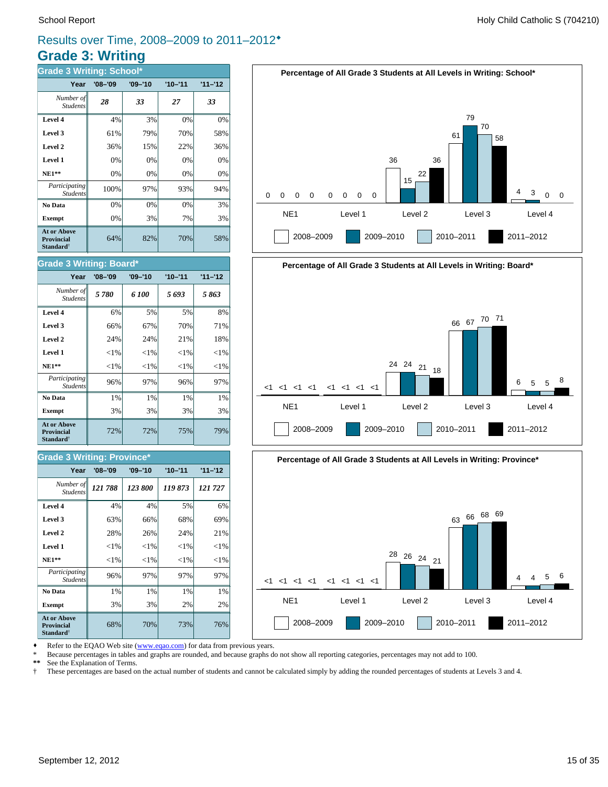# **Grade 3: Writing** Results over Time, 2008–2009 to 2011–2012®

| <b>Grade 3 Writing: School*</b>                                         |             |             |             |           |  |  |  |
|-------------------------------------------------------------------------|-------------|-------------|-------------|-----------|--|--|--|
| Year                                                                    | $'08 - '09$ | $'09 - '10$ | $'10 - '11$ | $11 - 12$ |  |  |  |
| Number of<br><b>Students</b>                                            | 28          | 33          | 27          | 33        |  |  |  |
| Level 4                                                                 | 4%          | 3%          | 0%          | 0%        |  |  |  |
| Level 3                                                                 | 61%         | 79%         | 70%         | 58%       |  |  |  |
| Level 2                                                                 | 36%         | 15%         | 22%         | 36%       |  |  |  |
| Level 1                                                                 | 0%          | 0%          | 0%          | 0%        |  |  |  |
| $NE1**$                                                                 | 0%          | 0%          | 0%          | 0%        |  |  |  |
| Participating<br><b>Students</b>                                        | 100%        | 97%         | 93%         | 94%       |  |  |  |
| No Data                                                                 | 0%          | 0%          | 0%          | 3%        |  |  |  |
| <b>Exempt</b>                                                           | 0%          | 3%          | 7%          | 3%        |  |  |  |
| <b>At or Above</b><br><b>Provincial</b><br><b>Standard</b> <sup>†</sup> | 64%         | 82%         | 70%         | 58%       |  |  |  |



# **Percentage of All Grade 3 Students at All Levels in Writing: Board\*** NE1 Level 1 Level 2 Level 3 Level 4  $<1 < 1 < 1 < 1$ 2008–2009 2009–2010 2010–2011 2011–2012 <1 <1 <1 <1 <1 <1 <1  $24$   $24$   $21$   $18$ <sup>66</sup> <sup>67</sup> <sup>70</sup> <sup>71</sup> 6 5 5 8



Refer to the EQAO Web site (www.eqao.com) for data from previous years.

**Exempt**  $\begin{array}{|c|c|c|c|} \hline \text{3\%} & \text{3\%} & \text{2\%} & \text{2\%} \hline \end{array}$ **No Data**  $\begin{array}{|c|c|c|c|} \hline \textbf{No Data} & 1\% & 1\% & 1\% \hline \end{array}$ *Participating* 96% 97% 97% 97%

**NE1\*\***  $\| \le 1\% \| \le 1\% \| \le 1\% \| \le 1\%$  **Level 1** <1% <1% <1% <1% **Level 2**  $\begin{array}{|c|c|c|c|} \hline \end{array}$  28% 26% 24% 21% **Level 3**  $\begin{vmatrix} 63\% & 66\% \end{vmatrix}$  68% 69% **Level 4**  $\begin{array}{|c|c|c|c|c|} \hline 4\% & 4\% & 5\% & 6\% \hline \end{array}$ 

68% 70% 73% 76%

72% 72% 75% 79%

**Exempt**  $\begin{array}{|c|c|c|c|} \hline \text{3\%} & \text{3\%} & \text{3\%} & \text{3\%} \hline \end{array}$ **No Data**  $\begin{array}{|c|c|c|c|} \hline \textbf{No Data} & 1\% & 1\% & 1\% \hline \end{array}$ *Participating* 96% 97% 96% 97%

*121 788 123 800 119 873 121 727 Number of*

**Year '08–'09 '09–'10 '10–'11 '11–'12**

**NE1\*\***  $|\hspace{-.06cm}1\%| \hspace{-.06cm} <1\%| \hspace{-.06cm} <1\%$   $|\hspace{-.06cm}1\%| \hspace{-.06cm} <1\%$ **Level 1**  $\left| \begin{array}{c} | & | & | \leq 1\% & | & | \leq 1\% & | \leq 1\% & | \end{array} \right|$ **Level 2**  $\begin{array}{|c|c|c|c|} \hline \end{array}$  24% 24% 21% 21% 21% **Level 3 66% 67% 70% 71% Level 4** 6% 5% 5% 8% *5 780 6 100 5 693 5 863 Number of*

**Year '08–'09 '09–'10 '10–'11 '11–'12**

\* Because percentages in tables and graphs are rounded, and because graphs do not show all reporting categories, percentages may not add to 100.

**\*\*** See the Explanation of Terms.

*Student* 

**At or Above Provincial Standard**†

*Students*

**Grade 3 Writing: Province\***

Students

**At or Above Provincial Standard**†

Student.

**Grade 3 Writing: Board\***

† These percentages are based on the actual number of students and cannot be calculated simply by adding the rounded percentages of students at Levels 3 and 4.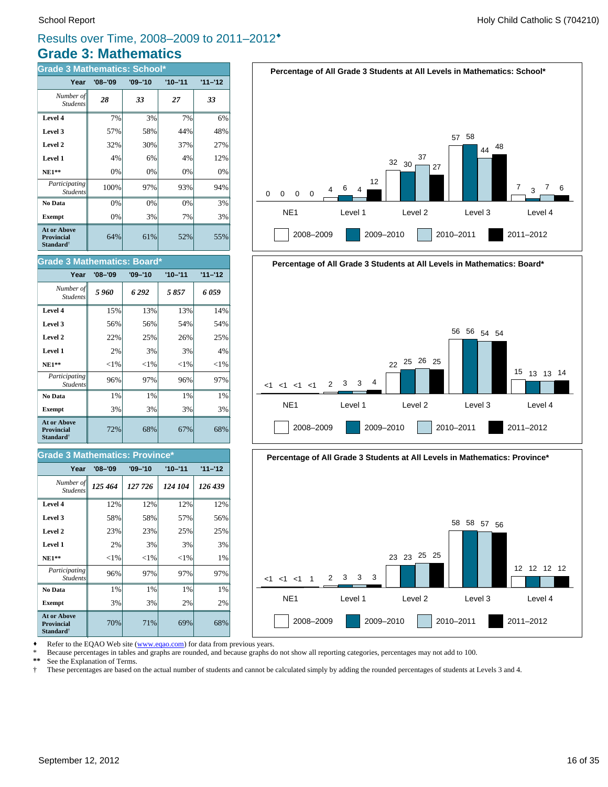# **Grade 3: Mathematics** Results over Time, 2008–2009 to 2011–2012®

| <b>Grade 3 Mathematics: School*</b>                              |             |             |             |           |  |  |  |
|------------------------------------------------------------------|-------------|-------------|-------------|-----------|--|--|--|
| Year                                                             | $'08 - '09$ | $'09 - '10$ | $'10 - '11$ | $11 - 12$ |  |  |  |
| Number of<br><b>Students</b>                                     | 28          | 33          | 27          | 33        |  |  |  |
| Level 4                                                          | 7%          | 3%          | 7%          | 6%        |  |  |  |
| Level 3                                                          | 57%         | 58%         | 44%         | 48%       |  |  |  |
| Level 2                                                          | 32%         | 30%         | 37%         | 27%       |  |  |  |
| Level 1                                                          | 4%          | 6%          | 4%          | 12%       |  |  |  |
| $NE1**$                                                          | 0%          | 0%          | 0%          | 0%        |  |  |  |
| Participating<br><b>Students</b>                                 | 100%        | 97%         | 93%         | 94%       |  |  |  |
| No Data                                                          | 0%          | 0%          | 0%          | 3%        |  |  |  |
| <b>Exempt</b>                                                    | 0%          | 3%          | 7%          | 3%        |  |  |  |
| <b>At or Above</b><br>Provincial<br><b>Standard</b> <sup>†</sup> | 64%         | 61%         | 52%         | 55%       |  |  |  |

| <b>Grade 3 Mathematics: Board*</b>                                      |          |          |             |           |  |  |  |
|-------------------------------------------------------------------------|----------|----------|-------------|-----------|--|--|--|
| Year                                                                    | '08–'09  | '09–'10  | $'10 - '11$ | $11 - 12$ |  |  |  |
| Number of<br><b>Students</b>                                            | 5960     | 6292     | 5857        | 6059      |  |  |  |
| Level 4                                                                 | 15%      | 13%      | 13%         | 14%       |  |  |  |
| Level 3                                                                 | 56%      | 56%      | 54%         | 54%       |  |  |  |
| Level 2                                                                 | 22%      | 25%      | 26%         | 25%       |  |  |  |
| Level 1                                                                 | 2%       | 3%       | 3%          | 4%        |  |  |  |
| <b>NE1**</b>                                                            | ${<}1\%$ | ${<}1\%$ | ${<}1\%$    | ${<}1\%$  |  |  |  |
| Participating<br><b>Students</b>                                        | 96%      | 97%      | 96%         | 97%       |  |  |  |
| No Data                                                                 | 1%       | 1%       | 1%          | 1%        |  |  |  |
| <b>Exempt</b>                                                           | 3%       | 3%       | 3%          | 3%        |  |  |  |
| <b>At or Above</b><br><b>Provincial</b><br><b>Standard</b> <sup>†</sup> | 72%      | 68%      | 67%         | 68%       |  |  |  |

#### **Grade 3 Mathematics: Province\***

| Year                                                                    | $'08 - '09$ | $'09 - '10$ | $'10 - '11$ | $11 - 12$ |
|-------------------------------------------------------------------------|-------------|-------------|-------------|-----------|
| Number of<br><b>Students</b>                                            | 125 464     | 127 726     | 124 104     | 126 439   |
| Level 4                                                                 | 12%         | 12%         | 12%         | 12%       |
| Level 3                                                                 | 58%         | 58%         | 57%         | 56%       |
| Level 2                                                                 | 23%         | 23%         | 25%         | 25%       |
| Level 1                                                                 | 2%          | 3%          | 3%          | 3%        |
| <b>NE1**</b>                                                            | ${<}1\%$    | ${<}1\%$    | ${<}1\%$    | 1%        |
| Participating<br><b>Students</b>                                        | 96%         | 97%         | 97%         | 97%       |
| No Data                                                                 | 1%          | 1%          | 1%          | 1%        |
| <b>Exempt</b>                                                           | 3%          | 3%          | 2%          | 2%        |
| <b>At or Above</b><br><b>Provincial</b><br><b>Standard</b> <sup>†</sup> | 70%         | 71%         | 69%         | 68%       |







Refer to the EQAO Web site (www.eqao.com) for data from previous years.

\* Because percentages in tables and graphs are rounded, and because graphs do not show all reporting categories, percentages may not add to 100.<br>\*\* See the Explanation of Terms

\*\* See the Explanation of Terms.<br><sup>†</sup> These percentages are based on

† These percentages are based on the actual number of students and cannot be calculated simply by adding the rounded percentages of students at Levels 3 and 4.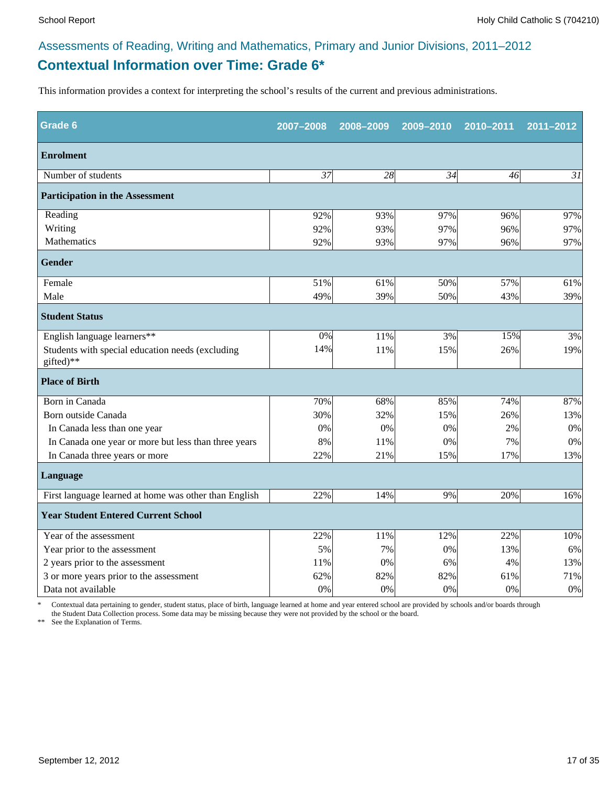# **Contextual Information over Time: Grade 6\*** Assessments of Reading, Writing and Mathematics, Primary and Junior Divisions, 2011–2012

This information provides a context for interpreting the school's results of the current and previous administrations.

| Grade 6                                                       | 2007-2008 | 2008-2009 | 2009-2010 | 2010-2011 | 2011-2012 |
|---------------------------------------------------------------|-----------|-----------|-----------|-----------|-----------|
| <b>Enrolment</b>                                              |           |           |           |           |           |
| Number of students                                            | 37        | 28        | 34        | 46        | 31        |
| <b>Participation in the Assessment</b>                        |           |           |           |           |           |
| Reading                                                       | 92%       | 93%       | 97%       | 96%       | 97%       |
| Writing                                                       | 92%       | 93%       | 97%       | 96%       | 97%       |
| Mathematics                                                   | 92%       | 93%       | 97%       | 96%       | 97%       |
| <b>Gender</b>                                                 |           |           |           |           |           |
| Female                                                        | 51%       | 61%       | 50%       | 57%       | 61%       |
| Male                                                          | 49%       | 39%       | 50%       | 43%       | 39%       |
| <b>Student Status</b>                                         |           |           |           |           |           |
| English language learners**                                   | 0%        | 11%       | 3%        | 15%       | 3%        |
| Students with special education needs (excluding<br>gifted)** | 14%       | 11%       | 15%       | 26%       | 19%       |
| <b>Place of Birth</b>                                         |           |           |           |           |           |
| Born in Canada                                                | 70%       | 68%       | 85%       | 74%       | 87%       |
| Born outside Canada                                           | 30%       | 32%       | 15%       | 26%       | 13%       |
| In Canada less than one year                                  | $0\%$     | 0%        | 0%        | 2%        | $0\%$     |
| In Canada one year or more but less than three years          | 8%        | 11%       | 0%        | 7%        | 0%        |
| In Canada three years or more                                 | 22%       | 21%       | 15%       | 17%       | 13%       |
| Language                                                      |           |           |           |           |           |
| First language learned at home was other than English         | 22%       | 14%       | 9%        | 20%       | 16%       |
| <b>Year Student Entered Current School</b>                    |           |           |           |           |           |
| Year of the assessment                                        | 22%       | 11%       | 12%       | 22%       | 10%       |
| Year prior to the assessment                                  | 5%        | 7%        | 0%        | 13%       | 6%        |
| 2 years prior to the assessment                               | 11%       | 0%        | 6%        | 4%        | 13%       |
| 3 or more years prior to the assessment                       | 62%       | 82%       | 82%       | 61%       | 71%       |
| Data not available                                            | 0%        | 0%        | 0%        | 0%        | $0\%$     |

\* Contextual data pertaining to gender, student status, place of birth, language learned at home and year entered school are provided by schools and/or boards through the Student Data Collection process. Some data may be missing because they were not provided by the school or the board.

\*\* See the Explanation of Terms.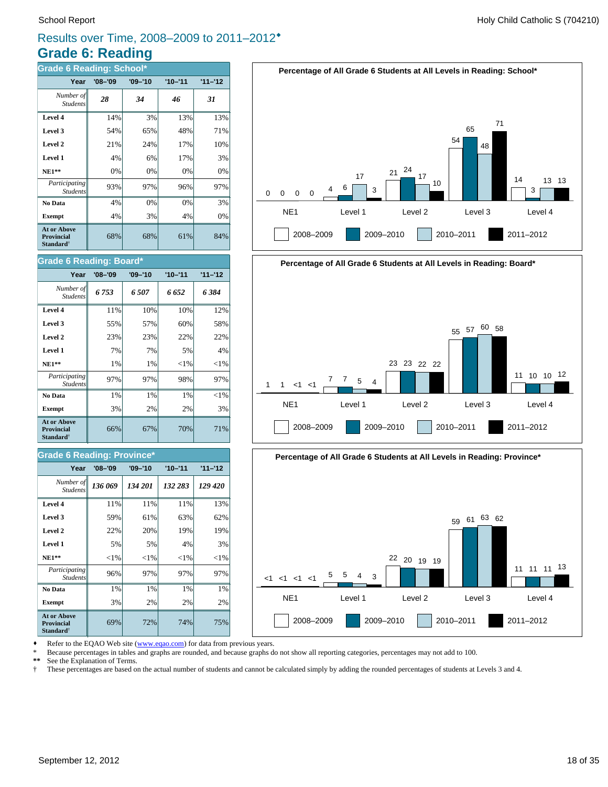# **Grade 6: Reading** Results over Time, 2008–2009 to 2011–2012®

| <b>Grade 6 Reading: School*</b>                                         |             |             |             |           |
|-------------------------------------------------------------------------|-------------|-------------|-------------|-----------|
| Year                                                                    | $'08 - '09$ | $'09 - '10$ | $'10 - '11$ | $11 - 12$ |
| Number of<br><b>Students</b>                                            | 28          | 34          | 46          | 31        |
| Level 4                                                                 | 14%         | 3%          | 13%         | 13%       |
| Level 3                                                                 | 54%         | 65%         | 48%         | 71%       |
| Level 2                                                                 | 21%         | 24%         | 17%         | 10%       |
| Level 1                                                                 | 4%          | 6%          | 17%         | 3%        |
| $NE1**$                                                                 | 0%          | 0%          | 0%          | 0%        |
| Participating<br><b>Students</b>                                        | 93%         | 97%         | 96%         | 97%       |
| No Data                                                                 | 4%          | 0%          | 0%          | 3%        |
| <b>Exempt</b>                                                           | 4%          | 3%          | 4%          | 0%        |
| <b>At or Above</b><br><b>Provincial</b><br><b>Standard</b> <sup>†</sup> | 68%         | 68%         | 61%         | 84%       |

#### 66% 67% 70% 71% **Exempt**  $\begin{array}{|c|c|c|c|c|} \hline \text{13\%} & \text{2\%} & \text{2\%} & \text{3\%} \hline \end{array}$ **No Data**  $\begin{array}{|c|c|c|c|c|} \hline \end{array}$  1% 1% 1% 1% 1% *Participating* 97% 97% 98% 97% *Students* **NE1\*\***  $\parallel$  1% 1%  $\parallel$   $\sim$  1%  $\parallel$   $\sim$  1%  $\parallel$   $\sim$  1% **Level 1** 7% 7% 5% 4% **Level 2** 23% 23% 22% 22% 22% **Level 3 1** 55% 57% 60% 58% **Level 4** 11% 10% 10% 10% 12% *6 753 6 507 6 652 6 384 Number of Students* **Year '08–'09 '09–'10 '10–'11 '11–'12 Grade 6 Reading: Board\* At or Above Provincial Standard**†

#### **Grade 6 Reading: Province\***

| Year                                                                    | $'08 - '09$ | $'09 - '10$ | $'10 - '11$ | $11 - 12$ |
|-------------------------------------------------------------------------|-------------|-------------|-------------|-----------|
| Number of<br><b>Students</b>                                            | 136 069     | 134 201     | 132 283     | 129 420   |
| Level 4                                                                 | 11%         | 11%         | 11%         | 13%       |
| Level 3                                                                 | 59%         | 61%         | 63%         | 62%       |
| Level 2                                                                 | 22%         | 20%         | 19%         | 19%       |
| Level 1                                                                 | 5%          | 5%          | 4%          | 3%        |
| $NE1**$                                                                 | ${<}1\%$    | ${<}1\%$    | ${<}1\%$    | ${<}1\%$  |
| <i>Participating</i><br><b>Students</b>                                 | 96%         | 97%         | 97%         | 97%       |
| No Data                                                                 | 1%          | 1%          | 1%          | 1%        |
| <b>Exempt</b>                                                           | 3%          | 2%          | 2%          | 2%        |
| <b>At or Above</b><br><b>Provincial</b><br><b>Standard</b> <sup>†</sup> | 69%         | 72%         | 74%         | 75%       |







Refer to the EQAO Web site (www.eqao.com) for data from previous years.

\* Because percentages in tables and graphs are rounded, and because graphs do not show all reporting categories, percentages may not add to 100.

**\*\*** See the Explanation of Terms.

† These percentages are based on the actual number of students and cannot be calculated simply by adding the rounded percentages of students at Levels 3 and 4.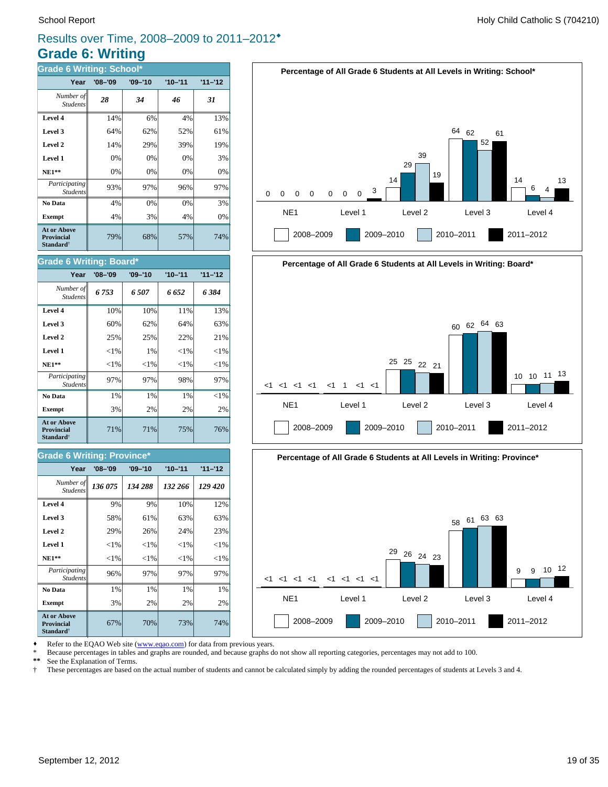# **Grade 6: Writing** Results over Time, 2008–2009 to 2011–2012®

| <b>Grade 6 Writing: School*</b>                                         |             |             |             |           |
|-------------------------------------------------------------------------|-------------|-------------|-------------|-----------|
| Year                                                                    | $'08 - '09$ | $'09 - '10$ | $'10 - '11$ | $11 - 12$ |
| Number of<br><b>Students</b>                                            | 28          | 34          | 46          | 31        |
| Level 4                                                                 | 14%         | 6%          | 4%          | 13%       |
| Level 3                                                                 | 64%         | 62%         | 52%         | 61%       |
| Level 2                                                                 | 14%         | 29%         | 39%         | 19%       |
| Level 1                                                                 | 0%          | 0%          | 0%          | 3%        |
| $NE1**$                                                                 | 0%          | 0%          | 0%          | 0%        |
| Participating<br><b>Students</b>                                        | 93%         | 97%         | 96%         | 97%       |
| No Data                                                                 | 4%          | 0%          | 0%          | 3%        |
| <b>Exempt</b>                                                           | 4%          | 3%          | 4%          | 0%        |
| <b>At or Above</b><br><b>Provincial</b><br><b>Standard</b> <sup>†</sup> | 79%         | 68%         | 57%         | 74%       |









Refer to the EQAO Web site (www.eqao.com) for data from previous years.

\* Because percentages in tables and graphs are rounded, and because graphs do not show all reporting categories, percentages may not add to 100.<br>\*\* See the Explanation of Terms

\*\* See the Explanation of Terms.<br><sup>†</sup> These percentages are based on

† These percentages are based on the actual number of students and cannot be calculated simply by adding the rounded percentages of students at Levels 3 and 4.

#### **Level 3** 60% 62% 62% 64% 63% **Level 4** 10% 10% 10% 11% 13%

**Grade 6 Writing: Board\***

Student.

| Level 2                                                          | 25%      | 25%      | 22%      | 21%      |
|------------------------------------------------------------------|----------|----------|----------|----------|
| Level 1                                                          | ${<}1\%$ | 1%       | ${<}1\%$ | $<$ 1%   |
| $NE1**$                                                          | ${<}1\%$ | ${<}1\%$ | ${<}1\%$ | ${<}1\%$ |
| Participating<br><i>Students</i>                                 | 97%      | 97%      | 98%      | 97%      |
| No Data                                                          | 1%       | 1%       | 1%       | $<$ 1%   |
| <b>Exempt</b>                                                    | 3%       | 2%       | 2%       | 2%       |
| At or Above<br><b>Provincial</b><br><b>Standard</b> <sup>†</sup> | 71%      | 71%      | 75%      | 76%      |
|                                                                  |          |          |          |          |

*6 753 6 507 6 652 6 384 Number of*

**Year '08–'09 '09–'10 '10–'11 '11–'12**

#### **Grade 6 Writing: Province\***

| Year                                                                    | $'08 - '09$ | $'09 - '10$ | $'10 - '11$ | $11 - 12$ |
|-------------------------------------------------------------------------|-------------|-------------|-------------|-----------|
| Number of<br><b>Students</b>                                            | 136 075     | 134 288     | 132 266     | 129 420   |
| Level 4                                                                 | 9%          | 9%          | 10%         | 12%       |
| Level 3                                                                 | 58%         | 61%         | 63%         | 63%       |
| Level 2                                                                 | 29%         | 26%         | 24%         | 23%       |
| Level 1                                                                 | ${<}1\%$    | ${<}1\%$    | ${<}1\%$    | ${<}1\%$  |
| $NE1**$                                                                 | ${<}1\%$    | ${<}1\%$    | ${<}1\%$    | ${<}1\%$  |
| Participating<br><b>Students</b>                                        | 96%         | 97%         | 97%         | 97%       |
| No Data                                                                 | 1%          | 1%          | 1%          | 1%        |
| <b>Exempt</b>                                                           | 3%          | 2%          | 2%          | 2%        |
| <b>At or Above</b><br><b>Provincial</b><br><b>Standard</b> <sup>†</sup> | 67%         | 70%         | 73%         | 74%       |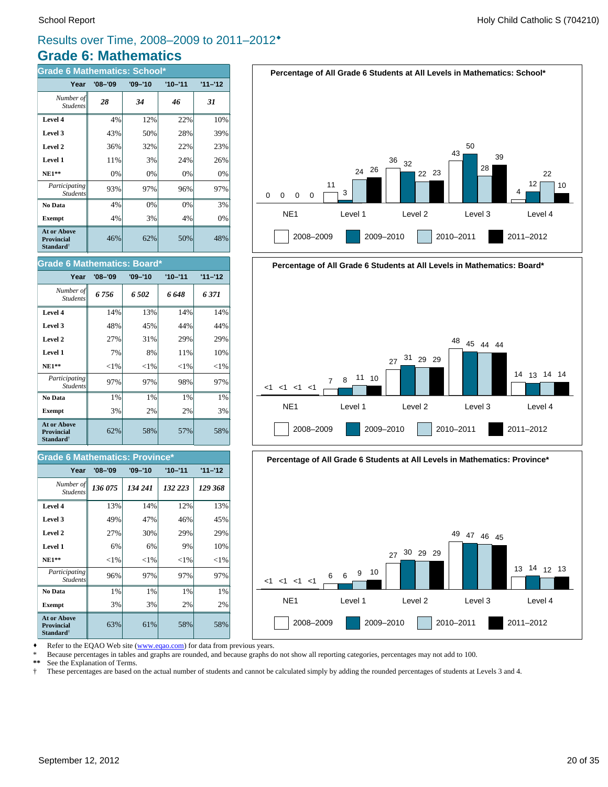# **Grade 6: Mathematics** Results over Time, 2008–2009 to 2011–2012®

| <b>Grade 6 Mathematics: School*</b>                                     |             |             |             |           |
|-------------------------------------------------------------------------|-------------|-------------|-------------|-----------|
| Year                                                                    | $'08 - '09$ | $'09 - '10$ | $'10 - '11$ | $11 - 12$ |
| Number of<br><b>Students</b>                                            | 28          | 34          | 46          | 31        |
| Level 4                                                                 | 4%          | 12%         | 22%         | 10%       |
| Level 3                                                                 | 43%         | 50%         | 28%         | 39%       |
| Level 2                                                                 | 36%         | 32%         | 22%         | 23%       |
| Level 1                                                                 | 11%         | 3%          | 24%         | 26%       |
| $NE1**$                                                                 | 0%          | 0%          | 0%          | 0%        |
| Participating<br><b>Students</b>                                        | 93%         | 97%         | 96%         | 97%       |
| No Data                                                                 | 4%          | 0%          | 0%          | 3%        |
| <b>Exempt</b>                                                           | 4%          | 3%          | 4%          | 0%        |
| <b>At or Above</b><br><b>Provincial</b><br><b>Standard</b> <sup>†</sup> | 46%         | 62%         | 50%         | 48%       |

# **Percentage of All Grade 6 Students at All Levels in Mathematics: School\*** <sup>36</sup> <sup>32</sup> 43 50 39





| Year                                                                    | $'08 - '09$ | $'09 - '10$ | $'10 - '11$ | $11 - 12$ |
|-------------------------------------------------------------------------|-------------|-------------|-------------|-----------|
| Number of<br><b>Students</b>                                            | 6 756       | 6.502       | 6 648       | 6371      |
| Level 4                                                                 | 14%         | 13%         | 14%         | 14%       |
| Level 3                                                                 | 48%         | 45%         | 44%         | 44%       |
| Level 2                                                                 | 27%         | 31%         | 29%         | 29%       |
| Level 1                                                                 | 7%          | 8%          | 11%         | 10%       |
| <b>NE1**</b>                                                            | ${<}1\%$    | ${<}1\%$    | ${<}1\%$    | ${<}1\%$  |
| Participating<br><b>Students</b>                                        | 97%         | 97%         | 98%         | 97%       |
| No Data                                                                 | 1%          | 1%          | 1%          | 1%        |
| <b>Exempt</b>                                                           | 3%          | 2%          | 2%          | 3%        |
| <b>At or Above</b><br><b>Provincial</b><br><b>Standard</b> <sup>†</sup> | 62%         | 58%         | 57%         | 58%       |

#### **Grade 6 Mathematics: Province\***

| Year                                                             | $'08 - '09$ | $'09 - '10$ | $'10 - '11$ | $11 - 12$ |
|------------------------------------------------------------------|-------------|-------------|-------------|-----------|
| Number of<br><b>Students</b>                                     | 136 075     | 134 241     | 132 223     | 129 368   |
| Level 4                                                          | 13%         | 14%         | 12%         | 13%       |
| Level 3                                                          | 49%         | 47%         | 46%         | 45%       |
| Level 2                                                          | 27%         | 30%         | 29%         | 29%       |
| Level 1                                                          | 6%          | 6%          | 9%          | 10%       |
| $NE1**$                                                          | ${<}1\%$    | ${<}1\%$    | ${<}1\%$    | ${<}1\%$  |
| Participating<br><b>Students</b>                                 | 96%         | 97%         | 97%         | 97%       |
| No Data                                                          | 1%          | 1%          | 1%          | 1%        |
| <b>Exempt</b>                                                    | 3%          | 3%          | 2%          | 2%        |
| At or Above<br><b>Provincial</b><br><b>Standard</b> <sup>†</sup> | 63%         | 61%         | 58%         | 58%       |





Refer to the EQAO Web site (www.eqao.com) for data from previous years.

\* Because percentages in tables and graphs are rounded, and because graphs do not show all reporting categories, percentages may not add to 100.

See the Explanation of Terms.

† These percentages are based on the actual number of students and cannot be calculated simply by adding the rounded percentages of students at Levels 3 and 4.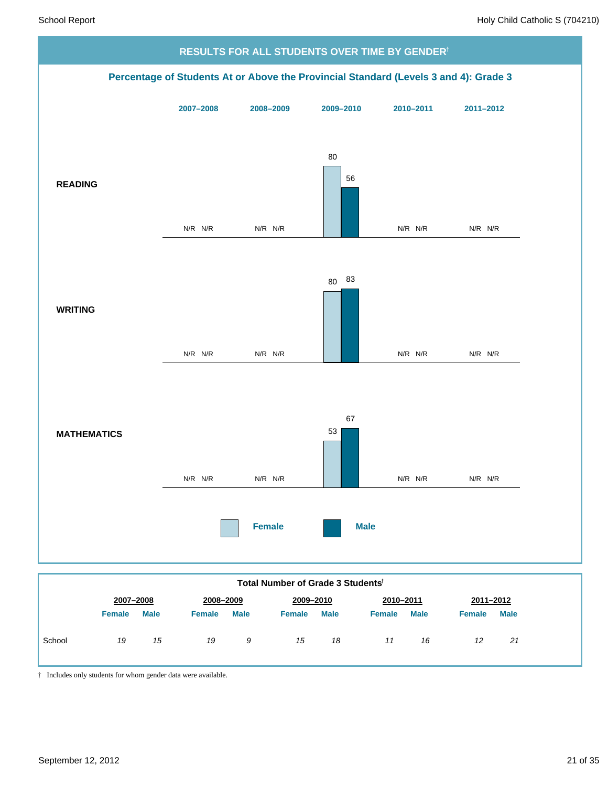

|        | <b>Female</b> | <b>Male</b> | <b>Female</b> | <b>Male</b> | <b>Female</b> | <b>Male</b> | <b>Female</b> | Male | <b>Female</b>     | <b>Male</b> |
|--------|---------------|-------------|---------------|-------------|---------------|-------------|---------------|------|-------------------|-------------|
| School | 19            | 15          |               | 19 9 9      | 15            | 18          | 11            | 16   | $12 \overline{ }$ | 21          |

† Includes only students for whom gender data were available.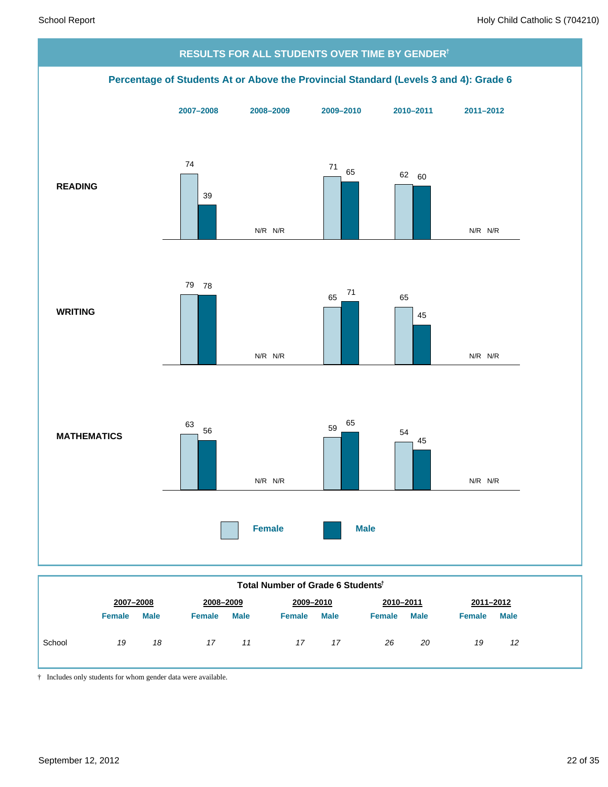

| Total Number of Grade 6 Students <sup>t</sup> |
|-----------------------------------------------|
|-----------------------------------------------|

|        | 2007-2008     |             |               | 2008-2009<br>2009-2010<br>2010-2011 |               |             |               | 2011-2012   |               |             |
|--------|---------------|-------------|---------------|-------------------------------------|---------------|-------------|---------------|-------------|---------------|-------------|
|        | <b>Female</b> | <b>Male</b> | <b>Female</b> | <b>Male</b>                         | <b>Female</b> | <b>Male</b> | <b>Female</b> | <b>Male</b> | <b>Female</b> | <b>Male</b> |
| School | 19            | 18          | 17            | 11                                  | 17            | 17          | 26            | 20          | 19            | 12          |

† Includes only students for whom gender data were available.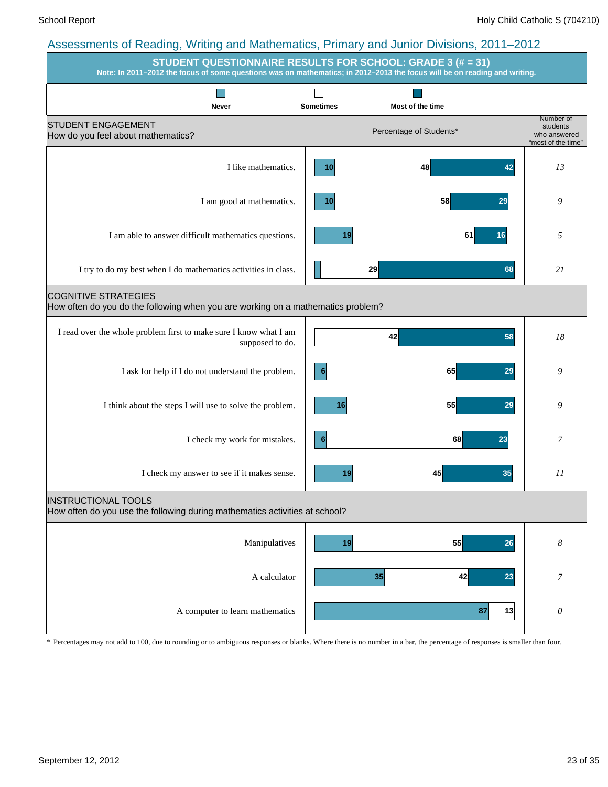|                                                                                                                 | <b>STUDENT QUESTIONNAIRE RESULTS FOR SCHOOL: GRADE 3 (# = 31)</b><br>Note: In 2011-2012 the focus of some questions was on mathematics; in 2012-2013 the focus will be on reading and writing. |                                                             |  |  |  |  |  |
|-----------------------------------------------------------------------------------------------------------------|------------------------------------------------------------------------------------------------------------------------------------------------------------------------------------------------|-------------------------------------------------------------|--|--|--|--|--|
| Never                                                                                                           | <b>Sometimes</b><br>Most of the time                                                                                                                                                           |                                                             |  |  |  |  |  |
| <b>STUDENT ENGAGEMENT</b><br>How do you feel about mathematics?                                                 | Percentage of Students*                                                                                                                                                                        | Number of<br>students<br>who answered<br>"most of the time" |  |  |  |  |  |
| I like mathematics.                                                                                             | 48<br>42<br>10 <sub>l</sub>                                                                                                                                                                    | 13                                                          |  |  |  |  |  |
| I am good at mathematics.                                                                                       | 58<br>10 <sup>1</sup><br>29                                                                                                                                                                    | 9                                                           |  |  |  |  |  |
| I am able to answer difficult mathematics questions.                                                            | 19<br>61<br>16                                                                                                                                                                                 | 5                                                           |  |  |  |  |  |
| I try to do my best when I do mathematics activities in class.                                                  | 29<br>68                                                                                                                                                                                       | 21                                                          |  |  |  |  |  |
| <b>COGNITIVE STRATEGIES</b><br>How often do you do the following when you are working on a mathematics problem? |                                                                                                                                                                                                |                                                             |  |  |  |  |  |
| I read over the whole problem first to make sure I know what I am<br>supposed to do.                            | 42<br>58                                                                                                                                                                                       | 18                                                          |  |  |  |  |  |
| I ask for help if I do not understand the problem.                                                              | 65<br>6<br>29                                                                                                                                                                                  | 9                                                           |  |  |  |  |  |
| I think about the steps I will use to solve the problem.                                                        | 55<br>16<br>29                                                                                                                                                                                 | 9                                                           |  |  |  |  |  |
| I check my work for mistakes.                                                                                   | 68<br>6<br>23                                                                                                                                                                                  | 7                                                           |  |  |  |  |  |
| I check my answer to see if it makes sense.                                                                     | 45<br>35<br>19                                                                                                                                                                                 | II                                                          |  |  |  |  |  |
| <b>INSTRUCTIONAL TOOLS</b><br>How often do you use the following during mathematics activities at school?       |                                                                                                                                                                                                |                                                             |  |  |  |  |  |
| Manipulatives                                                                                                   | 55<br>26<br>19                                                                                                                                                                                 | $\boldsymbol{8}$                                            |  |  |  |  |  |
| A calculator                                                                                                    | 35<br>42<br>23                                                                                                                                                                                 | 7                                                           |  |  |  |  |  |
| A computer to learn mathematics                                                                                 | 87 <br>13                                                                                                                                                                                      | $\boldsymbol{\mathit{0}}$                                   |  |  |  |  |  |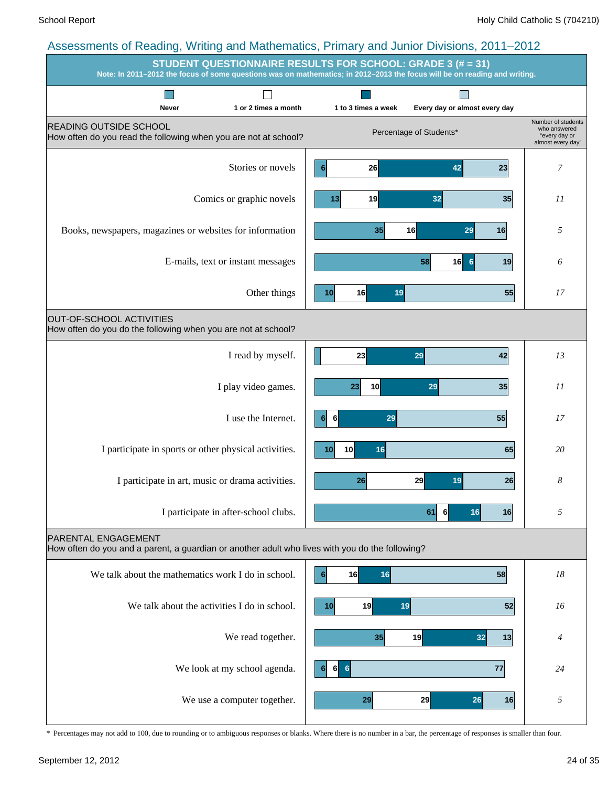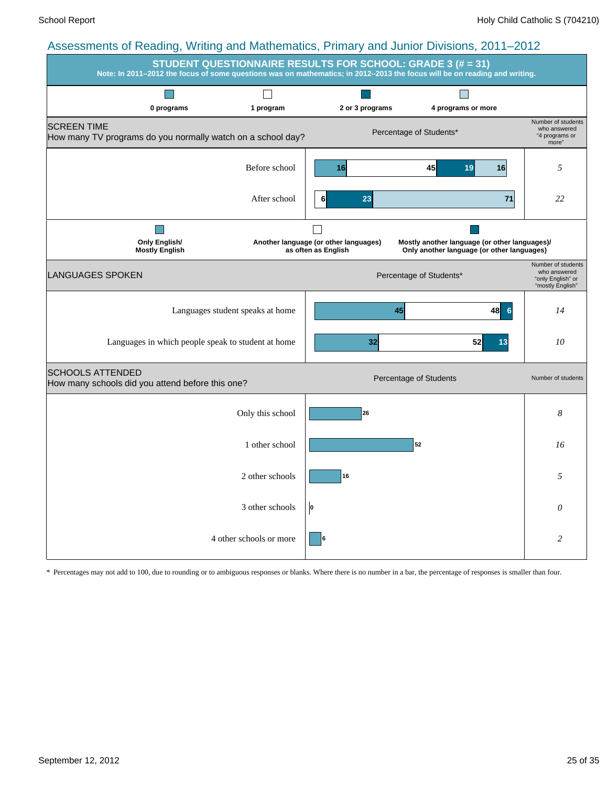| .<br>ີ                                                                            | STUDENT QUESTIONNAIRE RESULTS FOR SCHOOL: GRADE 3 (# = 31)<br>Note: In 2011-2012 the focus of some questions was on mathematics; in 2012-2013 the focus will be on reading and writing. |                                                              |                                                                                             |                                                                             |  |  |  |  |  |
|-----------------------------------------------------------------------------------|-----------------------------------------------------------------------------------------------------------------------------------------------------------------------------------------|--------------------------------------------------------------|---------------------------------------------------------------------------------------------|-----------------------------------------------------------------------------|--|--|--|--|--|
| 0 programs                                                                        | 1 program                                                                                                                                                                               | 2 or 3 programs                                              | 4 programs or more                                                                          |                                                                             |  |  |  |  |  |
| <b>SCREEN TIME</b><br>How many TV programs do you normally watch on a school day? |                                                                                                                                                                                         |                                                              | Percentage of Students*                                                                     | Number of students<br>who answered<br>"4 programs or<br>more"               |  |  |  |  |  |
|                                                                                   | Before school                                                                                                                                                                           | 16                                                           | 45<br>19<br>16                                                                              | 5                                                                           |  |  |  |  |  |
|                                                                                   | After school                                                                                                                                                                            | 23<br>6                                                      | 71                                                                                          | 22                                                                          |  |  |  |  |  |
| Only English/<br><b>Mostly English</b>                                            |                                                                                                                                                                                         | Another language (or other languages)<br>as often as English | Mostly another language (or other languages)/<br>Only another language (or other languages) |                                                                             |  |  |  |  |  |
| <b>LANGUAGES SPOKEN</b>                                                           |                                                                                                                                                                                         |                                                              | Percentage of Students*                                                                     | Number of students<br>who answered<br>"only English" or<br>"mostly English" |  |  |  |  |  |
| Languages student speaks at home                                                  |                                                                                                                                                                                         |                                                              | 48<br>45<br>6                                                                               | 14                                                                          |  |  |  |  |  |
| Languages in which people speak to student at home                                |                                                                                                                                                                                         | 32                                                           | 52<br>13                                                                                    | 10                                                                          |  |  |  |  |  |
| <b>SCHOOLS ATTENDED</b><br>How many schools did you attend before this one?       |                                                                                                                                                                                         |                                                              | Percentage of Students                                                                      | Number of students                                                          |  |  |  |  |  |
|                                                                                   | Only this school                                                                                                                                                                        | 26                                                           |                                                                                             | 8                                                                           |  |  |  |  |  |
|                                                                                   | 1 other school                                                                                                                                                                          |                                                              | 52                                                                                          | 16                                                                          |  |  |  |  |  |
|                                                                                   | 2 other schools                                                                                                                                                                         | 16                                                           |                                                                                             | 5                                                                           |  |  |  |  |  |
|                                                                                   | 3 other schools                                                                                                                                                                         | O                                                            |                                                                                             | $\theta$                                                                    |  |  |  |  |  |
|                                                                                   | 4 other schools or more                                                                                                                                                                 |                                                              |                                                                                             | $\overline{c}$                                                              |  |  |  |  |  |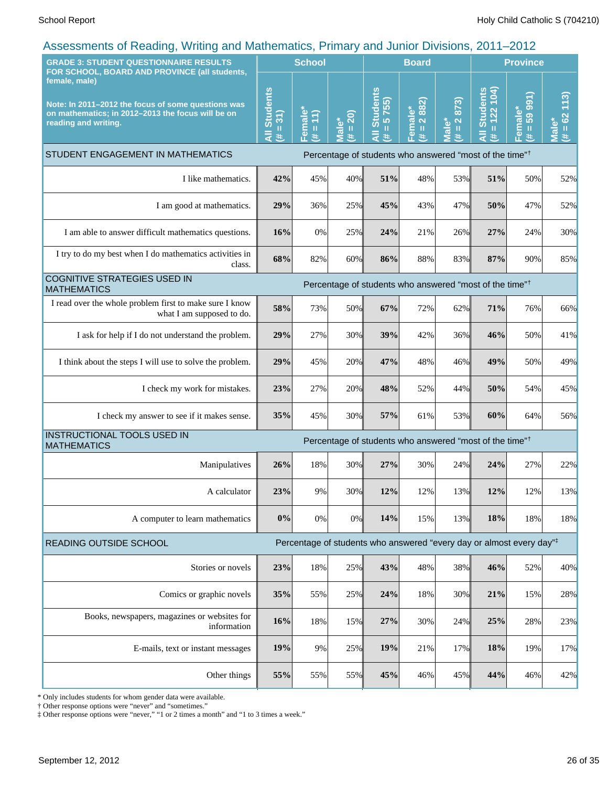| <b>GRADE 3: STUDENT QUESTIONNAIRE RESULTS</b>                                                                                                                                                     |                                                                     | <b>School</b>                         |                              |                                         | <b>Board</b>                                     | <b>Province</b>                                                      |                                                                                  |                                        |                              |
|---------------------------------------------------------------------------------------------------------------------------------------------------------------------------------------------------|---------------------------------------------------------------------|---------------------------------------|------------------------------|-----------------------------------------|--------------------------------------------------|----------------------------------------------------------------------|----------------------------------------------------------------------------------|----------------------------------------|------------------------------|
| FOR SCHOOL, BOARD AND PROVINCE (all students,<br>female, male)<br>Note: In 2011-2012 the focus of some questions was<br>on mathematics; in 2012-2013 the focus will be on<br>reading and writing. | <b>All Students</b><br>$= 31$<br>共                                  | emale<br>$\vert$<br>$\,$ H<br>共<br>Œ. | 20)<br>Male*<br>$\rm H$<br>共 | <b>Students</b><br>5755)<br>Ш<br>Ę<br>进 | 2 882)<br>Female*<br>$\, \, \mathrm{II} \,$<br>巷 | 873)<br>$\overline{\mathbf{N}}$<br>lale*<br>$\, \, \mathrm{II}$<br>共 | 122104<br><b>Students</b><br>$\mathbf H$<br>—<br>I₹<br>共                         | 59 991<br>Female*<br>$\mathbf{H}$<br>违 | (113)<br>$= 62$<br>Male<br>进 |
| STUDENT ENGAGEMENT IN MATHEMATICS                                                                                                                                                                 |                                                                     |                                       |                              |                                         |                                                  |                                                                      | Percentage of students who answered "most of the time" <sup>†</sup>              |                                        |                              |
| I like mathematics.                                                                                                                                                                               | 42%                                                                 | 45%                                   | 40%                          | 51%                                     | 48%                                              | 53%                                                                  | 51%                                                                              | 50%                                    | 52%                          |
| I am good at mathematics.                                                                                                                                                                         | 29%                                                                 | 36%                                   | 25%                          | 45%                                     | 43%                                              | 47%                                                                  | 50%                                                                              | 47%                                    | 52%                          |
| I am able to answer difficult mathematics questions.                                                                                                                                              | 16%                                                                 | 0%                                    | 25%                          | 24%                                     | 21%                                              | 26%                                                                  | 27%                                                                              | 24%                                    | 30%                          |
| I try to do my best when I do mathematics activities in<br>class.                                                                                                                                 | 68%                                                                 | 82%                                   | 60%                          | 86%                                     | 88%                                              | 83%                                                                  | 87%                                                                              | 90%                                    | 85%                          |
| <b>COGNITIVE STRATEGIES USED IN</b><br><b>MATHEMATICS</b>                                                                                                                                         | Percentage of students who answered "most of the time" <sup>†</sup> |                                       |                              |                                         |                                                  |                                                                      |                                                                                  |                                        |                              |
| I read over the whole problem first to make sure I know<br>what I am supposed to do.                                                                                                              | 58%                                                                 | 73%                                   | 50%                          | 67%                                     | 72%                                              | 62%                                                                  | 71%                                                                              | 76%                                    | 66%                          |
| I ask for help if I do not understand the problem.                                                                                                                                                | 29%                                                                 | 27%                                   | 30%                          | 39%                                     | 42%                                              | 36%                                                                  | 46%                                                                              | 50%                                    | 41%                          |
| I think about the steps I will use to solve the problem.                                                                                                                                          | 29%                                                                 | 45%                                   | 20%                          | 47%                                     | 48%                                              | 46%                                                                  | 49%                                                                              | 50%                                    | 49%                          |
| I check my work for mistakes.                                                                                                                                                                     | 23%                                                                 | 27%                                   | 20%                          | 48%                                     | 52%                                              | 44%                                                                  | 50%                                                                              | 54%                                    | 45%                          |
| I check my answer to see if it makes sense.                                                                                                                                                       | 35%                                                                 | 45%                                   | 30%                          | 57%                                     | 61%                                              | 53%                                                                  | 60%                                                                              | 64%                                    | 56%                          |
| INSTRUCTIONAL TOOLS USED IN<br><b>MATHEMATICS</b>                                                                                                                                                 |                                                                     |                                       |                              |                                         |                                                  |                                                                      | Percentage of students who answered "most of the time" <sup>†</sup>              |                                        |                              |
| Manipulatives                                                                                                                                                                                     | 26%                                                                 | 18%                                   | 30%                          | 27%                                     | 30%                                              | 24%                                                                  | 24%                                                                              | 27%                                    | 22%                          |
| A calculator                                                                                                                                                                                      | 23%                                                                 | 9%                                    | 30%                          | 12%                                     | 12%                                              | 13%                                                                  | 12%                                                                              | 12%                                    | 13%                          |
| A computer to learn mathematics                                                                                                                                                                   | 0%                                                                  | $0\%$                                 | 0%                           | 14%                                     | 15%                                              | 13%                                                                  | 18%                                                                              | 18%                                    | 18%                          |
| READING OUTSIDE SCHOOL                                                                                                                                                                            |                                                                     |                                       |                              |                                         |                                                  |                                                                      | Percentage of students who answered "every day or almost every day" <sup>‡</sup> |                                        |                              |
| Stories or novels                                                                                                                                                                                 | 23%                                                                 | 18%                                   | 25%                          | 43%                                     | 48%                                              | 38%                                                                  | 46%                                                                              | 52%                                    | 40%                          |
| Comics or graphic novels                                                                                                                                                                          | 35%                                                                 | 55%                                   | 25%                          | 24%                                     | 18%                                              | 30%                                                                  | 21%                                                                              | 15%                                    | 28%                          |
| Books, newspapers, magazines or websites for<br>information                                                                                                                                       | 16%                                                                 | 18%                                   | 15%                          | 27%                                     | 30%                                              | 24%                                                                  | 25%                                                                              | 28%                                    | 23%                          |
| E-mails, text or instant messages                                                                                                                                                                 | 19%                                                                 | 9%                                    | 25%                          | 19%                                     | 21%                                              | 17%                                                                  | 18%                                                                              | 19%                                    | 17%                          |
| Other things                                                                                                                                                                                      | 55%                                                                 | 55%                                   | 55%                          | 45%                                     | 46%                                              | 45%                                                                  | 44%                                                                              | 46%                                    | 42%                          |

\* Only includes students for whom gender data were available.

† Other response options were "never" and "sometimes."

‡ Other response options were "never," "1 or 2 times a month" and "1 to 3 times a week."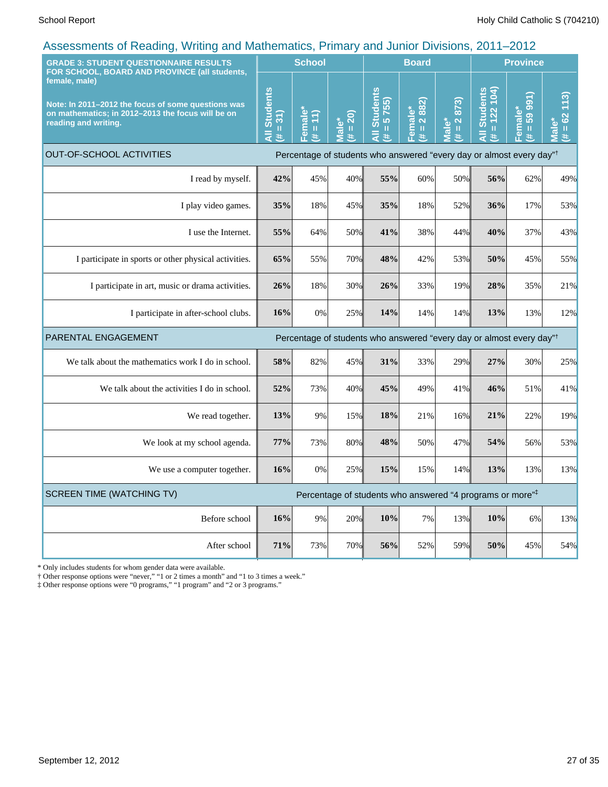| <b>GRADE 3: STUDENT QUESTIONNAIRE RESULTS</b>                                                                                                                                                     |                                    | <b>School</b>                   |                                       |                                                                                  | <b>Board</b>                           |                                                                      | <b>Province</b>                         |                                      |                             |
|---------------------------------------------------------------------------------------------------------------------------------------------------------------------------------------------------|------------------------------------|---------------------------------|---------------------------------------|----------------------------------------------------------------------------------|----------------------------------------|----------------------------------------------------------------------|-----------------------------------------|--------------------------------------|-----------------------------|
| FOR SCHOOL, BOARD AND PROVINCE (all students,<br>female, male)<br>Note: In 2011-2012 the focus of some questions was<br>on mathematics; in 2012-2013 the focus will be on<br>reading and writing. | <b>All Students</b><br>$= 31$<br>进 | Female*<br>(11)<br>$\rm H$<br>进 | $= 20$<br><u>ی*</u><br>$\bar{a}$<br># | <b>Students</b><br>$\overline{5}$ 755)<br>$\mathbf u$<br>$\ast$                  | 2 882)<br>Female*<br>$\mathbf{u}$<br>美 | 873)<br>$\mathbf{\Omega}$<br>Male <sup>*</sup><br>$\mathbf{u}$<br>#. | <b>All Students</b><br>$= 122 104$<br>共 | 5991)<br>Female*<br>$\mathbf H$<br>巷 | (13)<br>$= 62$<br>Jial<br>进 |
| <b>OUT-OF-SCHOOL ACTIVITIES</b>                                                                                                                                                                   |                                    |                                 |                                       | Percentage of students who answered "every day or almost every day" <sup>†</sup> |                                        |                                                                      |                                         |                                      |                             |
| I read by myself.                                                                                                                                                                                 | 42%                                | 45%                             | 40%                                   | 55%                                                                              | 60%                                    | 50%                                                                  | 56%                                     | 62%                                  | 49%                         |
| I play video games.                                                                                                                                                                               | 35%                                | 18%                             | 45%                                   | 35%                                                                              | 18%                                    | 52%                                                                  | 36%                                     | 17%                                  | 53%                         |
| I use the Internet.                                                                                                                                                                               | 55%                                | 64%                             | 50%                                   | 41%                                                                              | 38%                                    | 44%                                                                  | 40%                                     | 37%                                  | 43%                         |
| I participate in sports or other physical activities.                                                                                                                                             | 65%                                | 55%                             | 70%                                   | 48%                                                                              | 42%                                    | 53%                                                                  | 50%                                     | 45%                                  | 55%                         |
| I participate in art, music or drama activities.                                                                                                                                                  | 26%                                | 18%                             | 30%                                   | 26%                                                                              | 33%                                    | 19%                                                                  | 28%                                     | 35%                                  | 21%                         |
| I participate in after-school clubs.                                                                                                                                                              | 16%                                | 0%                              | 25%                                   | 14%                                                                              | 14%                                    | 14%                                                                  | 13%                                     | 13%                                  | 12%                         |
| PARENTAL ENGAGEMENT                                                                                                                                                                               |                                    |                                 |                                       | Percentage of students who answered "every day or almost every day" <sup>†</sup> |                                        |                                                                      |                                         |                                      |                             |
| We talk about the mathematics work I do in school.                                                                                                                                                | 58%                                | 82%                             | 45%                                   | 31%                                                                              | 33%                                    | 29%                                                                  | 27%                                     | 30%                                  | 25%                         |
| We talk about the activities I do in school.                                                                                                                                                      | 52%                                | 73%                             | 40%                                   | 45%                                                                              | 49%                                    | 41%                                                                  | 46%                                     | 51%                                  | 41%                         |
| We read together.                                                                                                                                                                                 | 13%                                | 9%                              | 15%                                   | 18%                                                                              | 21%                                    | 16%                                                                  | 21%                                     | 22%                                  | 19%                         |
| We look at my school agenda.                                                                                                                                                                      | 77%                                | 73%                             | 80%                                   | 48%                                                                              | 50%                                    | 47%                                                                  | 54%                                     | 56%                                  | 53%                         |
| We use a computer together.                                                                                                                                                                       | 16%                                | 0%                              | 25%                                   | 15%                                                                              | 15%                                    | 14%                                                                  | 13%                                     | 13%                                  | 13%                         |
| <b>SCREEN TIME (WATCHING TV)</b>                                                                                                                                                                  |                                    |                                 |                                       | Percentage of students who answered "4 programs or more" <sup>‡</sup>            |                                        |                                                                      |                                         |                                      |                             |
| Before school                                                                                                                                                                                     | 16%                                | 9%                              | 20%                                   | 10%                                                                              | 7%                                     | 13%                                                                  | 10%                                     | 6%                                   | 13%                         |
| After school                                                                                                                                                                                      | 71%                                | 73%                             | 70%                                   | 56%                                                                              | 52%                                    | 59%                                                                  | 50%                                     | 45%                                  | 54%                         |

\* Only includes students for whom gender data were available.

† Other response options were "never," "1 or 2 times a month" and "1 to 3 times a week."

‡ Other response options were "0 programs," "1 program" and "2 or 3 programs."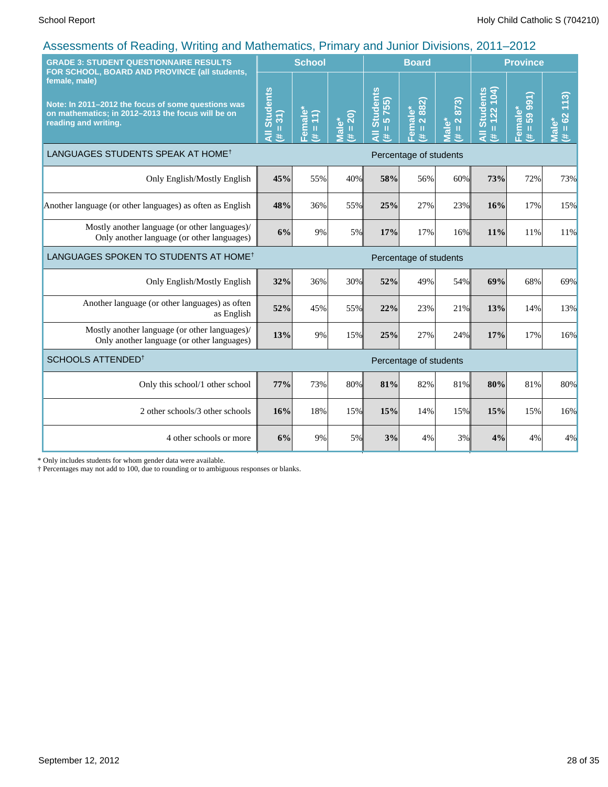| <b>GRADE 3: STUDENT QUESTIONNAIRE RESULTS</b><br>FOR SCHOOL, BOARD AND PROVINCE (all students,                                                   |                                                  | <b>School</b>                                   |                   |                                 | <b>Board</b>                                                        |                                             | <b>Province</b>                  |                                 |                                     |  |
|--------------------------------------------------------------------------------------------------------------------------------------------------|--------------------------------------------------|-------------------------------------------------|-------------------|---------------------------------|---------------------------------------------------------------------|---------------------------------------------|----------------------------------|---------------------------------|-------------------------------------|--|
| female, male)<br>Note: In 2011-2012 the focus of some questions was<br>on mathematics; in 2012-2013 the focus will be on<br>reading and writing. | <b>Students</b><br>$= 31$<br>$\overline{a}$<br># | Female*<br>$\ket{\hat{1}}$<br>$\mathbf{H}$<br>共 | $# = 20$<br>Male* | All Students<br>5755)<br>Ш<br>共 | 882)<br>Female*<br>$\ddot{\mathbf{N}}$<br>$\mathbf{H}$<br>$\ddot{}$ | 873)<br>Q<br>Viale*<br>$\rm H$<br>$\ddot{}$ | $= 122 104$<br>All Students<br>共 | 991)<br>Female*<br>59<br>Ш<br># | 113)<br>$= 62$<br><b>Male*</b><br>巷 |  |
| LANGUAGES STUDENTS SPEAK AT HOME <sup>†</sup>                                                                                                    | Percentage of students                           |                                                 |                   |                                 |                                                                     |                                             |                                  |                                 |                                     |  |
| Only English/Mostly English                                                                                                                      | 45%                                              | 55%                                             | 40%               | 58%                             | 56%                                                                 | 60%                                         | 73%                              | 72%                             | 73%                                 |  |
| Another language (or other languages) as often as English                                                                                        | 48%                                              | 36%                                             | 55%               | 25%                             | 27%                                                                 | 23%                                         | 16%                              | 17%                             | 15%                                 |  |
| Mostly another language (or other languages)/<br>Only another language (or other languages)                                                      | 6%                                               | 9%                                              | 5%                | 17%                             | 17%                                                                 | 16%                                         | 11%                              | 11%                             | 11%                                 |  |
| LANGUAGES SPOKEN TO STUDENTS AT HOME <sup>†</sup>                                                                                                | Percentage of students                           |                                                 |                   |                                 |                                                                     |                                             |                                  |                                 |                                     |  |
| Only English/Mostly English                                                                                                                      | 32%                                              | 36%                                             | 30%               | 52%                             | 49%                                                                 | 54%                                         | 69%                              | 68%                             | 69%                                 |  |
| Another language (or other languages) as often<br>as English                                                                                     | 52%                                              | 45%                                             | 55%               | 22%                             | 23%                                                                 | 21%                                         | 13%                              | 14%                             | 13%                                 |  |
| Mostly another language (or other languages)/<br>Only another language (or other languages)                                                      | 13%                                              | 9%                                              | 15%               | 25%                             | 27%                                                                 | 24%                                         | 17%                              | 17%                             | 16%                                 |  |
| SCHOOLS ATTENDED <sup>1</sup>                                                                                                                    |                                                  |                                                 |                   |                                 | Percentage of students                                              |                                             |                                  |                                 |                                     |  |
| Only this school/1 other school                                                                                                                  | 77%                                              | 73%                                             | 80%               | 81%                             | 82%                                                                 | 81%                                         | 80%                              | 81%                             | 80%                                 |  |
| 2 other schools/3 other schools                                                                                                                  | 16%                                              | 18%                                             | 15%               | 15%                             | 14%                                                                 | 15%                                         | 15%                              | 15%                             | 16%                                 |  |
| 4 other schools or more                                                                                                                          | 6%                                               | 9%                                              | 5%                | 3%                              | 4%                                                                  | 3%                                          | 4%                               | 4%                              | 4%                                  |  |

\* Only includes students for whom gender data were available.

† Percentages may not add to 100, due to rounding or to ambiguous responses or blanks.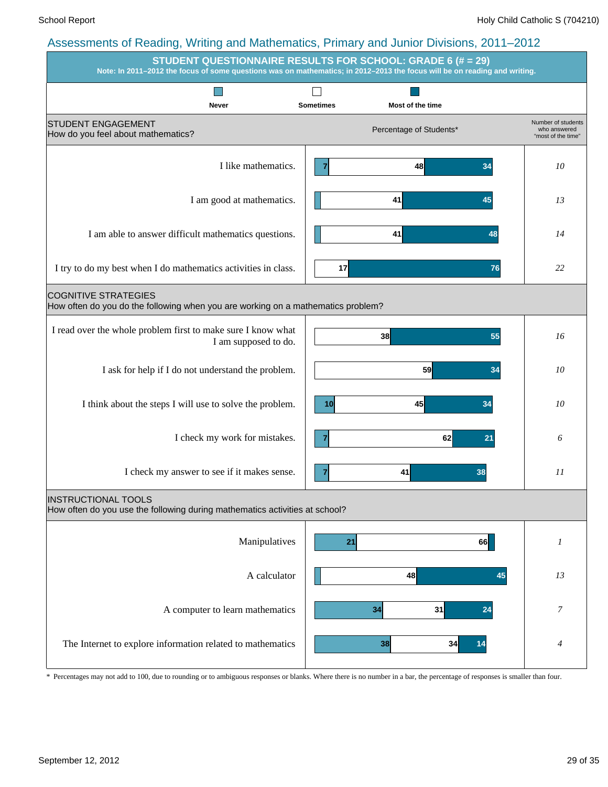|                                                                                                                 | <b>STUDENT QUESTIONNAIRE RESULTS FOR SCHOOL: GRADE 6 (# = 29)</b><br>Note: In 2011-2012 the focus of some questions was on mathematics; in 2012-2013 the focus will be on reading and writing. |                                                          |  |  |  |  |  |
|-----------------------------------------------------------------------------------------------------------------|------------------------------------------------------------------------------------------------------------------------------------------------------------------------------------------------|----------------------------------------------------------|--|--|--|--|--|
| <b>Never</b>                                                                                                    | <b>Sometimes</b><br>Most of the time                                                                                                                                                           |                                                          |  |  |  |  |  |
| <b>STUDENT ENGAGEMENT</b><br>How do you feel about mathematics?                                                 | Percentage of Students*                                                                                                                                                                        | Number of students<br>who answered<br>"most of the time" |  |  |  |  |  |
| I like mathematics.                                                                                             | 48<br>34                                                                                                                                                                                       | 10                                                       |  |  |  |  |  |
| I am good at mathematics.                                                                                       | 41<br>45                                                                                                                                                                                       | 13                                                       |  |  |  |  |  |
| I am able to answer difficult mathematics questions.                                                            | 41<br>48                                                                                                                                                                                       | 14                                                       |  |  |  |  |  |
| I try to do my best when I do mathematics activities in class.                                                  | 17<br>76                                                                                                                                                                                       | 22                                                       |  |  |  |  |  |
| <b>COGNITIVE STRATEGIES</b><br>How often do you do the following when you are working on a mathematics problem? |                                                                                                                                                                                                |                                                          |  |  |  |  |  |
| I read over the whole problem first to make sure I know what<br>I am supposed to do.                            | 38<br>55                                                                                                                                                                                       | 16                                                       |  |  |  |  |  |
| I ask for help if I do not understand the problem.                                                              | 59<br>34                                                                                                                                                                                       | 10                                                       |  |  |  |  |  |
| I think about the steps I will use to solve the problem.                                                        | 45<br>10<br>34                                                                                                                                                                                 | 10                                                       |  |  |  |  |  |
| I check my work for mistakes.                                                                                   | 62<br>21<br>7                                                                                                                                                                                  | 6                                                        |  |  |  |  |  |
| I check my answer to see if it makes sense.                                                                     | 41<br>38<br>7                                                                                                                                                                                  | 11                                                       |  |  |  |  |  |
| <b>INSTRUCTIONAL TOOLS</b><br>How often do you use the following during mathematics activities at school?       |                                                                                                                                                                                                |                                                          |  |  |  |  |  |
| Manipulatives                                                                                                   | 66<br>21                                                                                                                                                                                       | 1                                                        |  |  |  |  |  |
| A calculator                                                                                                    | 48<br>45                                                                                                                                                                                       | 13                                                       |  |  |  |  |  |
| A computer to learn mathematics                                                                                 | 31<br>34<br>24                                                                                                                                                                                 | 7                                                        |  |  |  |  |  |
| The Internet to explore information related to mathematics                                                      | 38<br>34<br>14                                                                                                                                                                                 | $\overline{4}$                                           |  |  |  |  |  |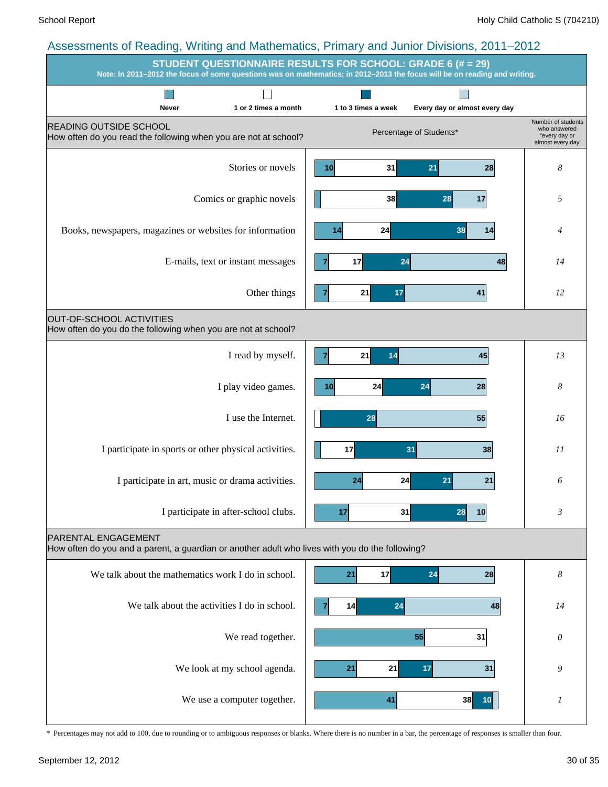#### Assessments of Reading, Writing and Mathematics, Primary and Junior Divisions, 2011–2012 **STUDENT QUESTIONNAIRE RESULTS FOR SCHOOL: GRADE 6 (# = 29) Note: In 2011–2012 the focus of some questions was on mathematics; in 2012–2013 the focus will be on reading and writing. Tall**  $\Box$  $\overline{\phantom{a}}$ **Never 1 or 2 times a month 1 to 3 times a week Every day or almost every day** Number of students READING OUTSIDE SCHOOL who answered Percentage of Students\* How often do you read the following when you are not at school? "every day or almost every day" Stories or novels *8* **10 31 21 28** Comics or graphic novels *5* **38 28 17** Books, newspapers, magazines or websites for information *4* **14 24 38 14** E-mails, text or instant messages *14* **7 17 24 48** Other things **1 12 21 17 21 17 41 12 7 21 17 41** OUT-OF-SCHOOL ACTIVITIES How often do you do the following when you are not at school? I read by myself. **1 14 14 14 14 15 13 13 7 21 14 45** I play video games. **8 10 24 24 24 28 28 8 10 24 24 28** I use the Internet. *16* **28 55** I participate in sports or other physical activities. *11* **17 31 38** I participate in art, music or drama activities. *6* **24 24 21 21** I participate in after-school clubs. *3* **17 31 28 10** PARENTAL ENGAGEMENT How often do you and a parent, a guardian or another adult who lives with you do the following? We talk about the mathematics work I do in school.  $\begin{vmatrix} 1 & 21 & 17 \\ 21 & 17 & 24 \end{vmatrix}$  28  $\begin{vmatrix} 8 & 21 & 28 \\ 21 & 21 & 21 \end{vmatrix}$ **21 17 24 28** We talk about the activities I do in school.  $\begin{vmatrix} 7 & 14 & 24 \\ 1 & 2 & 14 \end{vmatrix}$  (14 **7 14 24 48** We read together.  $\begin{vmatrix} 1 & 0 & 0 \\ 0 & 0 & 0 \\ 0 & 0 & 0 \end{vmatrix}$  **31 0 55 31** We look at my school agenda. *9* **21 21 17 31** We use a computer together.  $\begin{vmatrix} 1 & 41 \\ 4 & 38 \end{vmatrix}$  10  $\begin{vmatrix} 1 & 1 \\ 1 & 1 \end{vmatrix}$ **41 38 10**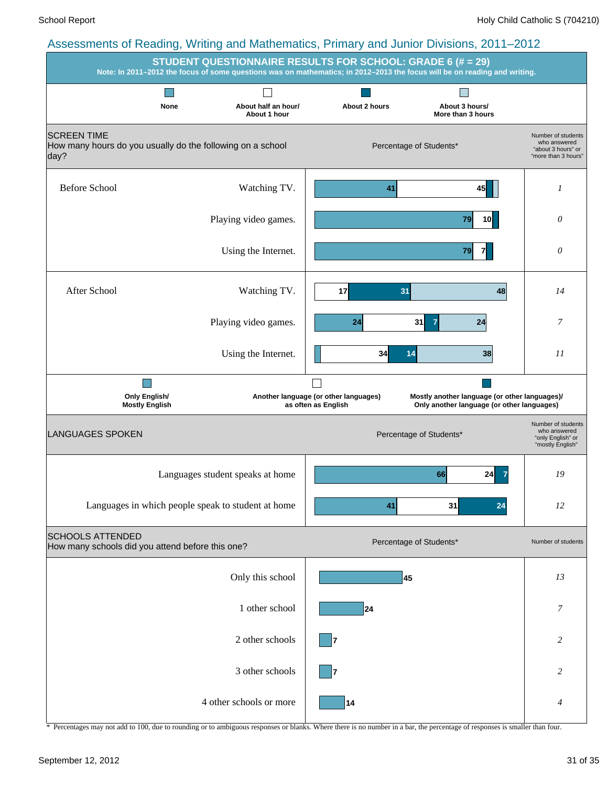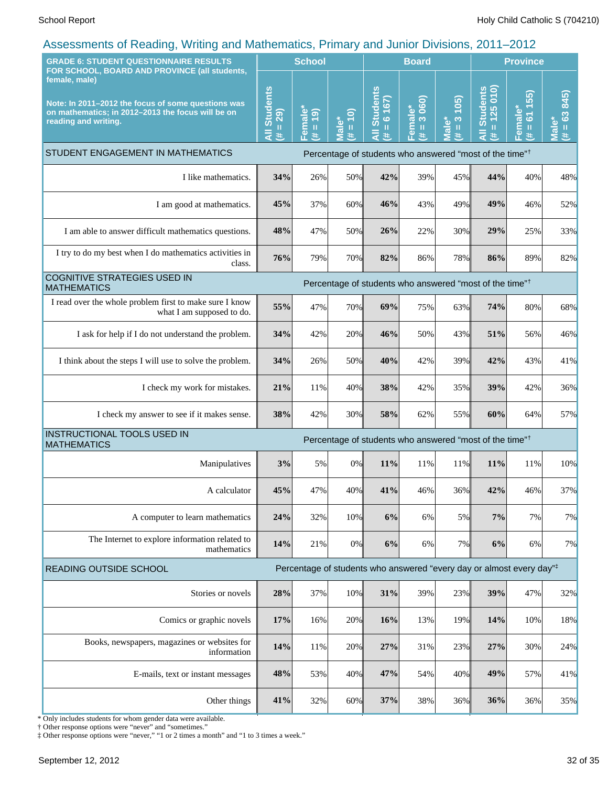| <b>GRADE 6: STUDENT QUESTIONNAIRE RESULTS</b><br>FOR SCHOOL, BOARD AND PROVINCE (all students,                                                   |                                             | <b>School</b>                             |                             |                                               | <b>Board</b>                                                                                                                                                                                                                                                                  |                                                | <b>Province</b>                                                                  |                                                                                   |                                          |
|--------------------------------------------------------------------------------------------------------------------------------------------------|---------------------------------------------|-------------------------------------------|-----------------------------|-----------------------------------------------|-------------------------------------------------------------------------------------------------------------------------------------------------------------------------------------------------------------------------------------------------------------------------------|------------------------------------------------|----------------------------------------------------------------------------------|-----------------------------------------------------------------------------------|------------------------------------------|
| female, male)<br>Note: In 2011-2012 the focus of some questions was<br>on mathematics; in 2012-2013 the focus will be on<br>reading and writing. | <b>Students</b><br>$= 29$<br>$\bar{a}$<br>进 | Female*<br>$\overline{19}$<br>$\,$ H<br>进 | $= 10$<br><b>Male*</b><br>违 | <b>Students</b><br>$= 6167$<br>$\bar{a}$<br>违 | 3 060)<br>Female*<br>$\mathbf{H}% =\mathbf{H}^{T}\mathbf{v}^{T}\mathbf{v}^{T}\mathbf{v}^{T}+\mathbf{H}^{T}\mathbf{v}^{T}\mathbf{v}^{T}+\mathbf{H}^{T}\mathbf{v}^{T}\mathbf{v}^{T}+\mathbf{H}^{T}\mathbf{v}^{T}\mathbf{v}^{T}+\mathbf{H}^{T}\mathbf{v}^{T}\mathbf{v}^{T}$<br>违 | (105)<br>$\overline{\mathbf{S}}$<br>Male*<br>违 | $= 125010$<br><b>Students</b><br>$\overline{a}$<br>进                             | $\overline{55}$<br>$\overline{\phantom{0}}$<br>Female*<br>$\delta$<br>$\,$ H<br>主 | 845)<br>$= 63$<br>Male <sup>*</sup><br>进 |
| STUDENT ENGAGEMENT IN MATHEMATICS                                                                                                                |                                             |                                           |                             |                                               |                                                                                                                                                                                                                                                                               |                                                | Percentage of students who answered "most of the time" <sup>†</sup>              |                                                                                   |                                          |
| I like mathematics.                                                                                                                              | 34%                                         | 26%                                       | 50%                         | 42%                                           | 39%                                                                                                                                                                                                                                                                           | 45%                                            | 44%                                                                              | 40%                                                                               | 48%                                      |
| I am good at mathematics.                                                                                                                        | 45%                                         | 37%                                       | 60%                         | 46%                                           | 43%                                                                                                                                                                                                                                                                           | 49%                                            | 49%                                                                              | 46%                                                                               | 52%                                      |
| I am able to answer difficult mathematics questions.                                                                                             | 48%                                         | 47%                                       | 50%                         | 26%                                           | 22%                                                                                                                                                                                                                                                                           | 30%                                            | 29%                                                                              | 25%                                                                               | 33%                                      |
| I try to do my best when I do mathematics activities in<br>class.                                                                                | 76%                                         | 79%                                       | 70%                         | 82%                                           | 86%                                                                                                                                                                                                                                                                           | 78%                                            | 86%                                                                              | 89%                                                                               | 82%                                      |
| <b>COGNITIVE STRATEGIES USED IN</b><br><b>MATHEMATICS</b>                                                                                        |                                             |                                           |                             |                                               |                                                                                                                                                                                                                                                                               |                                                | Percentage of students who answered "most of the time" <sup>†</sup>              |                                                                                   |                                          |
| I read over the whole problem first to make sure I know<br>what I am supposed to do.                                                             | 55%                                         | 47%                                       | 70%                         | 69%                                           | 75%                                                                                                                                                                                                                                                                           | 63%                                            | 74%                                                                              | 80%                                                                               | 68%                                      |
| I ask for help if I do not understand the problem.                                                                                               | 34%                                         | 42%                                       | 20%                         | 46%                                           | 50%                                                                                                                                                                                                                                                                           | 43%                                            | 51%                                                                              | 56%                                                                               | 46%                                      |
| I think about the steps I will use to solve the problem.                                                                                         | 34%                                         | 26%                                       | 50%                         | 40%                                           | 42%                                                                                                                                                                                                                                                                           | 39%                                            | 42%                                                                              | 43%                                                                               | 41%                                      |
| I check my work for mistakes.                                                                                                                    | 21%                                         | 11%                                       | 40%                         | 38%                                           | 42%                                                                                                                                                                                                                                                                           | 35%                                            | 39%                                                                              | 42%                                                                               | 36%                                      |
| I check my answer to see if it makes sense.                                                                                                      | 38%                                         | 42%                                       | 30%                         | 58%                                           | 62%                                                                                                                                                                                                                                                                           | 55%                                            | 60%                                                                              | 64%                                                                               | 57%                                      |
| INSTRUCTIONAL TOOLS USED IN<br><b>MATHEMATICS</b>                                                                                                |                                             |                                           |                             |                                               |                                                                                                                                                                                                                                                                               |                                                | Percentage of students who answered "most of the time" <sup>†</sup>              |                                                                                   |                                          |
| Manipulatives                                                                                                                                    | 3%                                          | 5%                                        | 0%                          | 11%                                           | 11%                                                                                                                                                                                                                                                                           | 11%                                            | 11%                                                                              | 11%                                                                               | 10%                                      |
| A calculator                                                                                                                                     | 45%                                         | 47%                                       | 40%                         | 41%                                           | 46%                                                                                                                                                                                                                                                                           | 36%                                            | 42%                                                                              | 46%                                                                               | 37%                                      |
| A computer to learn mathematics                                                                                                                  | 24%                                         | 32%                                       | 10%                         | 6%                                            | 6%                                                                                                                                                                                                                                                                            | 5%                                             | 7%                                                                               | 7%                                                                                | 7%                                       |
| The Internet to explore information related to<br>mathematics                                                                                    | 14%                                         | 21%                                       | 0%                          | 6%                                            | 6%                                                                                                                                                                                                                                                                            | 7%                                             | 6%                                                                               | 6%                                                                                | 7%                                       |
| READING OUTSIDE SCHOOL                                                                                                                           |                                             |                                           |                             |                                               |                                                                                                                                                                                                                                                                               |                                                | Percentage of students who answered "every day or almost every day" <sup>‡</sup> |                                                                                   |                                          |
| Stories or novels                                                                                                                                | 28%                                         | 37%                                       | 10%                         | 31%                                           | 39%                                                                                                                                                                                                                                                                           | 23%                                            | 39%                                                                              | 47%                                                                               | 32%                                      |
| Comics or graphic novels                                                                                                                         | 17%                                         | 16%                                       | 20%                         | 16%                                           | 13%                                                                                                                                                                                                                                                                           | 19%                                            | 14%                                                                              | 10%                                                                               | 18%                                      |
| Books, newspapers, magazines or websites for<br>information                                                                                      | 14%                                         | 11%                                       | 20%                         | 27%                                           | 31%                                                                                                                                                                                                                                                                           | 23%                                            | 27%                                                                              | 30%                                                                               | 24%                                      |
| E-mails, text or instant messages                                                                                                                | 48%                                         | 53%                                       | 40%                         | 47%                                           | 54%                                                                                                                                                                                                                                                                           | 40%                                            | 49%                                                                              | 57%                                                                               | 41%                                      |
| Other things                                                                                                                                     | 41%                                         | 32%                                       | 60%                         | 37%                                           | 38%                                                                                                                                                                                                                                                                           | 36%                                            | 36%                                                                              | 36%                                                                               | 35%                                      |

\* Only includes students for whom gender data were available.

† Other response options were "never" and "sometimes."

‡ Other response options were "never," "1 or 2 times a month" and "1 to 3 times a week."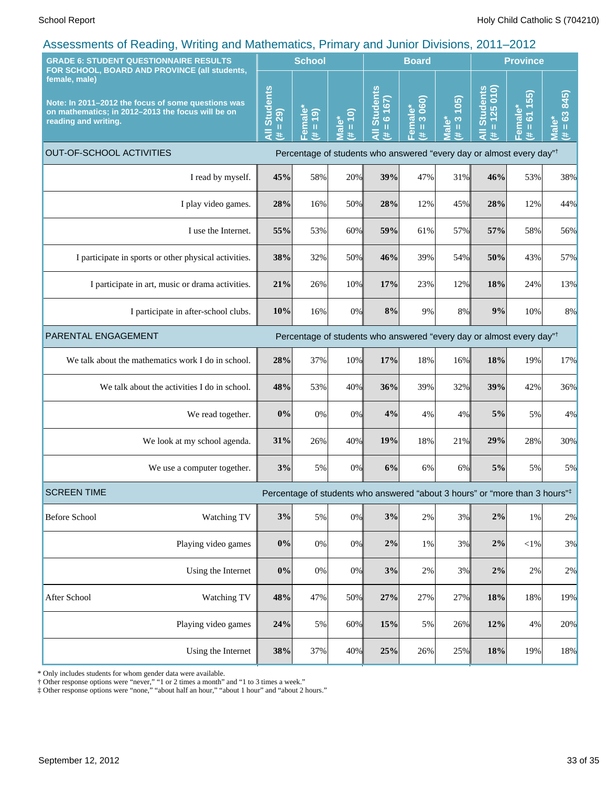| <b>GRADE 6: STUDENT QUESTIONNAIRE RESULTS</b>                                                                                                    |                                                                                                         |                                                   | <b>School</b>                                               |                              |                                                                 | <b>Board</b>                   | <b>Province</b>                                   |                                                                                         |                                       |                                     |
|--------------------------------------------------------------------------------------------------------------------------------------------------|---------------------------------------------------------------------------------------------------------|---------------------------------------------------|-------------------------------------------------------------|------------------------------|-----------------------------------------------------------------|--------------------------------|---------------------------------------------------|-----------------------------------------------------------------------------------------|---------------------------------------|-------------------------------------|
| female, male)<br>Note: In 2011-2012 the focus of some questions was<br>on mathematics; in 2012-2013 the focus will be on<br>reading and writing. | FOR SCHOOL, BOARD AND PROVINCE (all students,                                                           | <b>Students</b><br>(62)<br>$\mathbf{H}$<br>₹<br>共 | Female <sup>*</sup><br>$\overline{19}$<br>$\mathbf{0}$<br>巷 | $= 10$<br><b>Male*</b><br>B. | <b>Students</b><br>167)<br>$\frac{6}{1}$<br>$\overline{a}$<br>进 | 3 060)<br>Female*<br>(# = 3 06 | (105)<br>$\infty$<br><b>Male*</b><br>$\rm H$<br>共 | $= 125010$<br><b>Students</b><br>$\bar{a}$<br>进                                         | 55)<br>611<br>Female*<br>$\,$ II<br>违 | 845)<br>$= 63$<br><b>Male*</b><br>进 |
| <b>OUT-OF-SCHOOL ACTIVITIES</b>                                                                                                                  |                                                                                                         |                                                   |                                                             |                              |                                                                 |                                |                                                   | Percentage of students who answered "every day or almost every day" <sup>†</sup>        |                                       |                                     |
|                                                                                                                                                  | I read by myself.                                                                                       | 45%                                               | 58%                                                         | 20%                          | 39%                                                             | 47%                            | 31%                                               | 46%                                                                                     | 53%                                   | 38%                                 |
|                                                                                                                                                  | I play video games.                                                                                     | 28%                                               | 16%                                                         | 50%                          | 28%                                                             | 12%                            | 45%                                               | 28%                                                                                     | 12%                                   | 44%                                 |
|                                                                                                                                                  | I use the Internet.                                                                                     | 55%                                               | 53%                                                         | 60%                          | 59%                                                             | 61%                            | 57%                                               | 57%                                                                                     | 58%                                   | 56%                                 |
|                                                                                                                                                  | I participate in sports or other physical activities.                                                   | 38%                                               | 32%                                                         | 50%                          | 46%                                                             | 39%                            | 54%                                               | 50%                                                                                     | 43%                                   | 57%                                 |
|                                                                                                                                                  | I participate in art, music or drama activities.                                                        | 21%                                               | 26%                                                         | 10%                          | 17%                                                             | 23%                            | 12%                                               | 18%                                                                                     | 24%                                   | 13%                                 |
|                                                                                                                                                  | I participate in after-school clubs.                                                                    | 10%                                               | 16%                                                         | 0%                           | 8%                                                              | 9%                             | 8%                                                | 9%                                                                                      | 10%                                   | $8\%$                               |
|                                                                                                                                                  | PARENTAL ENGAGEMENT<br>Percentage of students who answered "every day or almost every day" <sup>†</sup> |                                                   |                                                             |                              |                                                                 |                                |                                                   |                                                                                         |                                       |                                     |
|                                                                                                                                                  | We talk about the mathematics work I do in school.                                                      | 28%                                               | 37%                                                         | 10%                          | 17%                                                             | 18%                            | 16%                                               | 18%                                                                                     | 19%                                   | 17%                                 |
|                                                                                                                                                  | We talk about the activities I do in school.                                                            | 48%                                               | 53%                                                         | 40%                          | 36%                                                             | 39%                            | 32%                                               | 39%                                                                                     | 42%                                   | 36%                                 |
|                                                                                                                                                  | We read together.                                                                                       | 0%                                                | 0%                                                          | 0%                           | 4%                                                              | 4%                             | 4%                                                | 5%                                                                                      | 5%                                    | 4%                                  |
|                                                                                                                                                  | We look at my school agenda.                                                                            | 31%                                               | 26%                                                         | 40%                          | 19%                                                             | 18%                            | 21%                                               | 29%                                                                                     | 28%                                   | 30%                                 |
|                                                                                                                                                  | We use a computer together.                                                                             | 3%                                                | 5%                                                          | 0%                           | 6%                                                              | 6%                             | 6%                                                | 5%                                                                                      | 5%                                    | 5%                                  |
| <b>SCREEN TIME</b>                                                                                                                               |                                                                                                         |                                                   |                                                             |                              |                                                                 |                                |                                                   | Percentage of students who answered "about 3 hours" or "more than 3 hours" <sup>‡</sup> |                                       |                                     |
| <b>Before School</b>                                                                                                                             | Watching TV                                                                                             | 3%                                                | 5%                                                          | 0%                           | 3%                                                              | $2\%$                          | 3%                                                | 2%                                                                                      | $1\%$                                 | 2%                                  |
|                                                                                                                                                  | Playing video games                                                                                     | $0\%$                                             | $0\%$                                                       | 0%                           | $2\%$                                                           | 1%                             | 3%                                                | 2%                                                                                      | ${<}1\%$                              | 3%                                  |
|                                                                                                                                                  | Using the Internet                                                                                      | $0\%$                                             | $0\%$                                                       | 0%                           | 3%                                                              | 2%                             | 3%                                                | $2\%$                                                                                   | 2%                                    | 2%                                  |
| After School                                                                                                                                     | Watching TV                                                                                             | 48%                                               | 47%                                                         | 50%                          | 27%                                                             | 27%                            | 27%                                               | $18\%$                                                                                  | 18%                                   | 19%                                 |
|                                                                                                                                                  | Playing video games                                                                                     | 24%                                               | 5%                                                          | 60%                          | 15%                                                             | 5%                             | 26%                                               | 12%                                                                                     | 4%                                    | 20%                                 |
|                                                                                                                                                  | Using the Internet                                                                                      | 38%                                               | 37%                                                         | 40%                          | 25%                                                             | 26%                            | 25%                                               | 18%                                                                                     | 19%                                   | 18%                                 |

\* Only includes students for whom gender data were available.

† Other response options were "never," "1 or 2 times a month" and "1 to 3 times a week."

‡ Other response options were "none," "about half an hour," "about 1 hour" and "about 2 hours."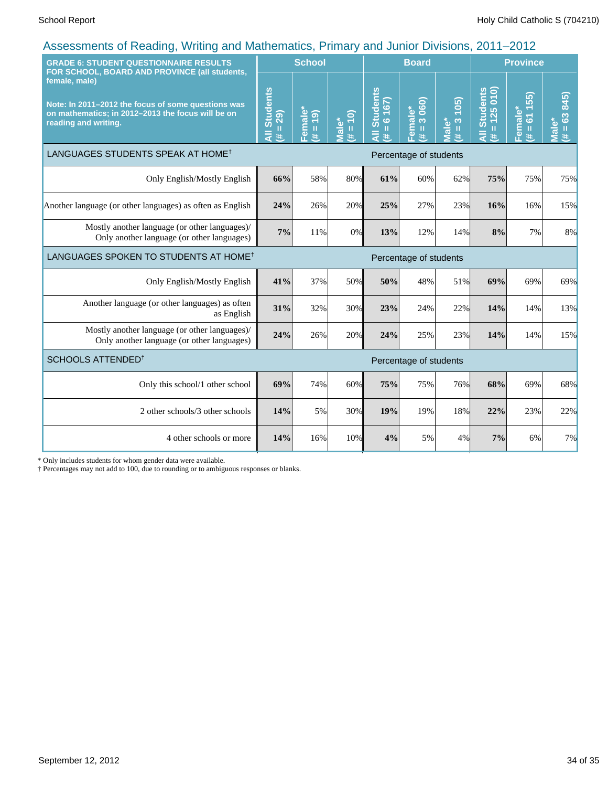| <b>GRADE 6: STUDENT QUESTIONNAIRE RESULTS</b><br>FOR SCHOOL, BOARD AND PROVINCE (all students,                                                   |                                     | <b>School</b>          |                                        | <b>Board</b>                         |                                                       |                                            | <b>Province</b>                               |                                                       |                          |
|--------------------------------------------------------------------------------------------------------------------------------------------------|-------------------------------------|------------------------|----------------------------------------|--------------------------------------|-------------------------------------------------------|--------------------------------------------|-----------------------------------------------|-------------------------------------------------------|--------------------------|
| female, male)<br>Note: In 2011-2012 the focus of some questions was<br>on mathematics; in 2012-2013 the focus will be on<br>reading and writing. | <b>All Students</b><br>$= 29$<br>¥. | Female*<br>$= 19$<br>共 | $(\frac{1}{2} + \frac{1}{2})$<br>Male* | <b>All Students</b><br>$= 6167$<br># | 060)<br>Female*<br>$\infty$<br>$\mathbf{H}$<br>$\ast$ | 105<br>$\frac{3}{2}$<br><b>Viale*</b><br># | $\frac{1}{2}$<br>All Students<br>$= 125$<br>共 | 155)<br>Female*<br>$\overline{6}$<br>$\mathbf H$<br>共 | $= 63 845$<br>Male*<br>进 |
| LANGUAGES STUDENTS SPEAK AT HOME <sup>†</sup><br>Percentage of students                                                                          |                                     |                        |                                        |                                      |                                                       |                                            |                                               |                                                       |                          |
| Only English/Mostly English                                                                                                                      | 66%                                 | 58%                    | 80%                                    | 61%                                  | 60%                                                   | 62%                                        | 75%                                           | 75%                                                   | 75%                      |
| Another language (or other languages) as often as English                                                                                        | 24%                                 | 26%                    | 20%                                    | 25%                                  | 27%                                                   | 23%                                        | 16%                                           | 16%                                                   | 15%                      |
| Mostly another language (or other languages)/<br>Only another language (or other languages)                                                      | 7%                                  | 11%                    | 0%                                     | 13%                                  | 12%                                                   | 14%                                        | 8%                                            | 7%                                                    | 8%                       |
| LANGUAGES SPOKEN TO STUDENTS AT HOME <sup>†</sup>                                                                                                |                                     |                        |                                        |                                      | Percentage of students                                |                                            |                                               |                                                       |                          |
| Only English/Mostly English                                                                                                                      | 41%                                 | 37%                    | 50%                                    | 50%                                  | 48%                                                   | 51%                                        | 69%                                           | 69%                                                   | 69%                      |
| Another language (or other languages) as often<br>as English                                                                                     | 31%                                 | 32%                    | 30%                                    | 23%                                  | 24%                                                   | 22%                                        | 14%                                           | 14%                                                   | 13%                      |
| Mostly another language (or other languages)/<br>Only another language (or other languages)                                                      | 24%                                 | 26%                    | 20%                                    | 24%                                  | 25%                                                   | 23%                                        | 14%                                           | 14%                                                   | 15%                      |
| SCHOOLS ATTENDED <sup>1</sup>                                                                                                                    |                                     |                        |                                        |                                      | Percentage of students                                |                                            |                                               |                                                       |                          |
| Only this school/1 other school                                                                                                                  | 69%                                 | 74%                    | 60%                                    | 75%                                  | 75%                                                   | 76%                                        | 68%                                           | 69%                                                   | 68%                      |
| 2 other schools/3 other schools                                                                                                                  | 14%                                 | 5%                     | 30%                                    | 19%                                  | 19%                                                   | 18%                                        | 22%                                           | 23%                                                   | 22%                      |
| 4 other schools or more                                                                                                                          | 14%                                 | 16%                    | 10%                                    | 4%                                   | 5%                                                    | 4%                                         | 7%                                            | 6%                                                    | 7%                       |

\* Only includes students for whom gender data were available.

† Percentages may not add to 100, due to rounding or to ambiguous responses or blanks.